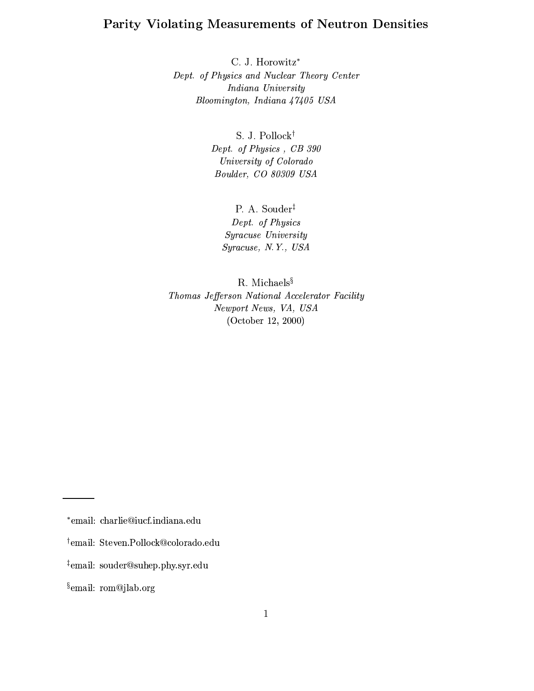# **Parity Violating Measurements of Neutron Densities**

C. J. Horowitz\* Dept. of Physics and Nuclear Theory Center Indiana University Bloomington, Indiana 47405 USA

> S. J. Pollock<sup>†</sup> Dept. of Physics, CB 390 University of Colorado Boulder, CO 80309 USA

> > P. A. Souder<sup>‡</sup> Dept. of Physics Syracuse University Syracuse, N.Y., USA

 $R.$  Michaels $\hat{s}$ Thomas Jefferson National Accelerator Facility Newport News, VA, USA  $(October 12, 2000)$ 

<sup>\*</sup>email: charlie@iucf.indiana.edu

<sup>&</sup>lt;sup>†</sup>email: Steven.Pollock@colorado.edu

<sup>&</sup>lt;sup>‡</sup>email: souder@suhep.phy.syr.edu

 $\frac{\S$ email: rom@jlab.org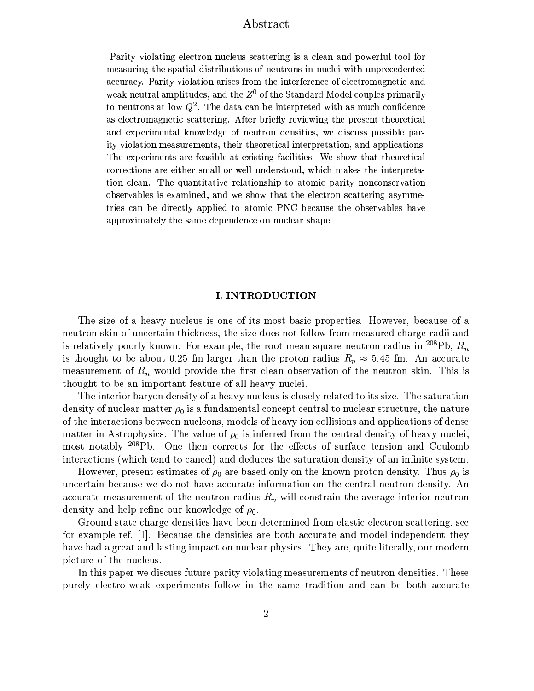# Abstract

Parity violating electron nucleus scattering is a clean and powerful tool for measuring the spatial distributions of neutrons in nuclei with unprecedented accuracy. Parity violation arises from the interference of electromagnetic and weak neutral amplitudes, and the  $Z^0$  of the Standard Model couples primarily to neutrons at low  $Q^2$ . The data can be interpreted with as much confidence as electromagnetic scattering. After briefly reviewing the present theoretical and experimental knowledge of neutron densities, we discuss possible parity violation measurements, their theoretical interpretation, and applications. The experiments are feasible at existing facilities. We show that theoretical corrections are either small or well understood, which makes the interpretation clean. The quantitative relationship to atomic parity nonconservation observables is examined, and we show that the electron scattering asymmetries can be directly applied to atomic PNC because the observables have approximately the same dependence on nuclear shape.

#### I. INTRODUCTION

The size of a heavy nucleus is one of its most basic properties. However, because of a neutron skin of uncertain thickness, the size does not follow from measured charge radii and is relatively poorly known. For example, the root mean square neutron radius in <sup>208</sup>Pb,  $R_n$ is thought to be about 0.25 fm larger than the proton radius  $R_p \approx 5.45$  fm. An accurate measurement of  $R_n$  would provide the first clean observation of the neutron skin. This is thought to be an important feature of all heavy nuclei.

The interior baryon density of a heavy nucleus is closely related to its size. The saturation density of nuclear matter  $\rho_0$  is a fundamental concept central to nuclear structure, the nature of the interactions between nucleons, models of heavy ion collisions and applications of dense matter in Astrophysics. The value of  $\rho_0$  is inferred from the central density of heavy nuclei, most notably <sup>208</sup>Pb. One then corrects for the effects of surface tension and Coulomb interactions (which tend to cancel) and deduces the saturation density of an infinite system.

However, present estimates of  $\rho_0$  are based only on the known proton density. Thus  $\rho_0$  is uncertain because we do not have accurate information on the central neutron density. An accurate measurement of the neutron radius  $R_n$  will constrain the average interior neutron density and help refine our knowledge of  $\rho_0$ .

Ground state charge densities have been determined from elastic electron scattering, see for example ref. 1. Because the densities are both accurate and model independent they have had a great and lasting impact on nuclear physics. They are, quite literally, our modern picture of the nucleus.

In this paper we discuss future parity violating measurements of neutron densities. These purely electro-weak experiments follow in the same tradition and can be both accurate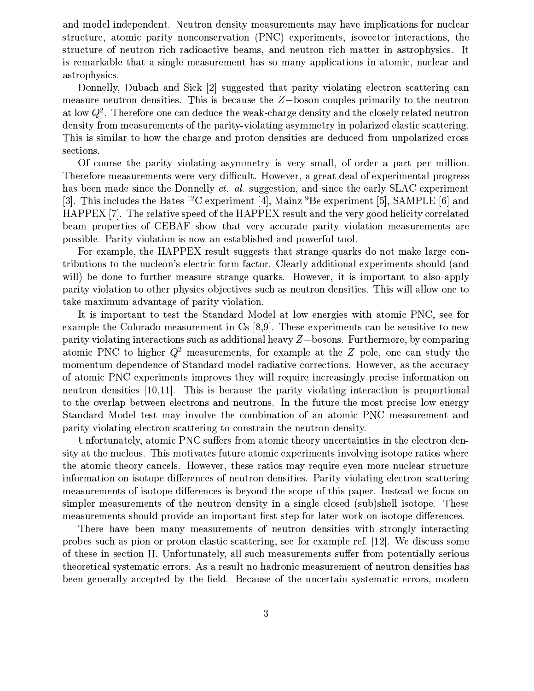and model independent. Neutron density measurements may have implications for nuclear structure, atomic parity nonconservation (PNC) experiments, isovector interactions, the structure of neutron rich radioactive beams, and neutron rich matter in astrophysics. It is remarkable that a single measurement has so many applications in atomic, nuclear and astrophysics.

Donnelly, Dubach and Sick [2] suggested that parity violating electron scattering can measure neutron densities. This is because the  $Z$ -boson couples primarily to the neutron at low  $Q^2$ . Therefore one can deduce the weak-charge density and the closely related neutron density from measurements of the parity-violating asymmetry in polarized elastic scattering. This is similar to how the charge and proton densities are deduced from unpolarized cross sections.

Of course the parity violating asymmetry is very small, of order a part per million. Therefore measurements were very difficult. However, a great deal of experimental progress has been made since the Donnelly *et. al.* suggestion, and since the early SLAC experiment [3]. This includes the Bates <sup>12</sup>C experiment [4], Mainz <sup>9</sup>Be experiment [5], SAMPLE [6] and HAPPEX [7]. The relative speed of the HAPPEX result and the very good helicity correlated beam properties of CEBAF show that very accurate parity violation measurements are possible. Parity violation is now an established and powerful tool.

For example, the HAPPEX result suggests that strange quarks do not make large contributions to the nucleon's electric form factor. Clearly additional experiments should (and will) be done to further measure strange quarks. However, it is important to also apply parity violation to other physics objectives such as neutron densities. This will allow one to take maximum advantage of parity violation.

It is important to test the Standard Model at low energies with atomic PNC, see for example the Colorado measurement in Cs  $[8,9]$ . These experiments can be sensitive to new parity violating interactions such as additional heavy  $Z$ -bosons. Furthermore, by comparing atomic PNC to higher  $Q^2$  measurements, for example at the Z pole, one can study the momentum dependence of Standard model radiative corrections. However, as the accuracy of atomic PNC experiments improves they will require increasingly precise information on neutron densities [10,11]. This is because the parity violating interaction is proportional to the overlap between electrons and neutrons. In the future the most precise low energy Standard Model test may involve the combination of an atomic PNC measurement and parity violating electron scattering to constrain the neutron density.

Unfortunately, atomic PNC suffers from atomic theory uncertainties in the electron density at the nucleus. This motivates future atomic experiments involving isotope ratios where the atomic theory cancels. However, these ratios may require even more nuclear structure information on isotope differences of neutron densities. Parity violating electron scattering measurements of isotope differences is beyond the scope of this paper. Instead we focus on simpler measurements of the neutron density in a single closed (sub)shell isotope. These measurements should provide an important first step for later work on isotope differences.

There have been many measurements of neutron densities with strongly interacting probes such as pion or proton elastic scattering, see for example ref. [12]. We discuss some of these in section II. Unfortunately, all such measurements suffer from potentially serious theoretical systematic errors. As a result no hadronic measurement of neutron densities has been generally accepted by the field. Because of the uncertain systematic errors, modern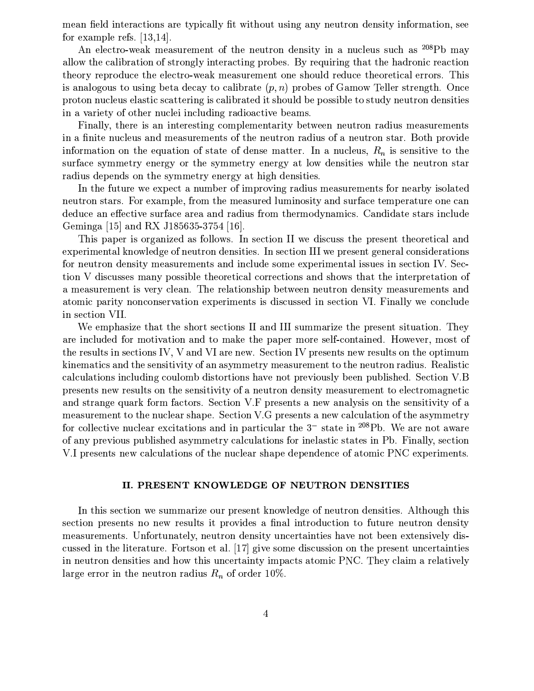mean field interactions are typically fit without using any neutron density information, see for example refs.  $[13, 14]$ .

An electro-weak measurement of the neutron density in a nucleus such as <sup>208</sup>Pb may allow the calibration of strongly interacting probes. By requiring that the hadronic reaction theory reproduce the electro-weak measurement one should reduce theoretical errors. This is analogous to using beta decay to calibrate  $(p, n)$  probes of Gamow Teller strength. Once proton nucleus elastic scattering is calibrated it should be possible to study neutron densities in a variety of other nuclei including radioactive beams.

Finally, there is an interesting complementarity between neutron radius measurements in a finite nucleus and measurements of the neutron radius of a neutron star. Both provide information on the equation of state of dense matter. In a nucleus,  $R_n$  is sensitive to the surface symmetry energy or the symmetry energy at low densities while the neutron star radius depends on the symmetry energy at high densities.

In the future we expect a number of improving radius measurements for nearby isolated neutron stars. For example, from the measured luminosity and surface temperature one can deduce an effective surface area and radius from thermodynamics. Candidate stars include Geminga [15] and RX J185635-3754 [16].

This paper is organized as follows. In section II we discuss the present theoretical and experimental knowledge of neutron densities. In section III we present general considerations for neutron density measurements and include some experimental issues in section IV. Section V discusses many possible theoretical corrections and shows that the interpretation of a measurement is very clean. The relationship between neutron density measurements and atomic parity nonconservation experiments is discussed in section VI. Finally we conclude in section VII.

We emphasize that the short sections II and III summarize the present situation. They are included for motivation and to make the paper more self-contained. However, most of the results in sections IV, V and VI are new. Section IV presents new results on the optimum kinematics and the sensitivity of an asymmetry measurement to the neutron radius. Realistic calculations including coulomb distortions have not previously been published. Section V.B presents new results on the sensitivity of a neutron density measurement to electromagnetic and strange quark form factors. Section V.F presents a new analysis on the sensitivity of a measurement to the nuclear shape. Section V.G presents a new calculation of the asymmetry for collective nuclear excitations and in particular the  $3^-$  state in <sup>208</sup>Pb. We are not aware of any previous published asymmetry calculations for inelastic states in Pb. Finally, section V.I presents new calculations of the nuclear shape dependence of atomic PNC experiments.

## II. PRESENT KNOWLEDGE OF NEUTRON DENSITIES

In this section we summarize our present knowledge of neutron densities. Although this section presents no new results it provides a final introduction to future neutron density measurements. Unfortunately, neutron density uncertainties have not been extensively discussed in the literature. Fortson et al. [17] give some discussion on the present uncertainties in neutron densities and how this uncertainty impacts atomic PNC. They claim a relatively large error in the neutron radius  $R_n$  of order 10%.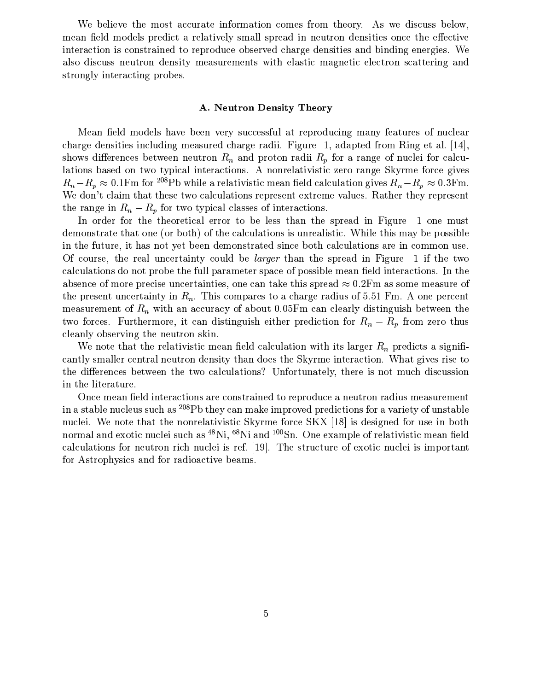We believe the most accurate information comes from theory. As we discuss below, mean field models predict a relatively small spread in neutron densities once the effective interaction is constrained to reproduce observed charge densities and binding energies. We also discuss neutron density measurements with elastic magnetic electron scattering and strongly interacting probes.

#### A. Neutron Density Theory

Mean field models have been very successful at reproducing many features of nuclear charge densities including measured charge radii. Figure 1, adapted from Ring et al.  $[14]$ , shows differences between neutron  $R_n$  and proton radii  $R_p$  for a range of nuclei for calculations based on two typical interactions. A nonrelativistic zero range Skyrme force gives  $R_n - R_p \approx 0.1$ Fm for <sup>208</sup>Pb while a relativistic mean field calculation gives  $R_n - R_p \approx 0.3$ Fm. We don't claim that these two calculations represent extreme values. Rather they represent the range in  $R_n - R_p$  for two typical classes of interactions.

In order for the theoretical error to be less than the spread in Figure 1 one must demonstrate that one (or both) of the calculations is unrealistic. While this may be possible in the future, it has not yet been demonstrated since both calculations are in common use. Of course, the real uncertainty could be *larger* than the spread in Figure 1 if the two calculations do not probe the full parameter space of possible mean field interactions. In the absence of more precise uncertainties, one can take this spread  $\approx 0.2$ Fm as some measure of the present uncertainty in  $R_n$ . This compares to a charge radius of 5.51 Fm. A one percent measurement of  $R_n$  with an accuracy of about 0.05Fm can clearly distinguish between the two forces. Furthermore, it can distinguish either prediction for  $R_n - R_p$  from zero thus cleanly observing the neutron skin.

We note that the relativistic mean field calculation with its larger  $R_n$  predicts a significantly smaller central neutron density than does the Skyrme interaction. What gives rise to the differences between the two calculations? Unfortunately, there is not much discussion in the literature.

Once mean field interactions are constrained to reproduce a neutron radius measurement in a stable nucleus such as  $^{208}Pb$  they can make improved predictions for a variety of unstable nuclei. We note that the nonrelativistic Skyrme force SKX [18] is designed for use in both normal and exotic nuclei such as <sup>48</sup>Ni, <sup>68</sup>Ni and <sup>100</sup>Sn. One example of relativistic mean field calculations for neutron rich nuclei is ref. [19]. The structure of exotic nuclei is important for Astrophysics and for radioactive beams.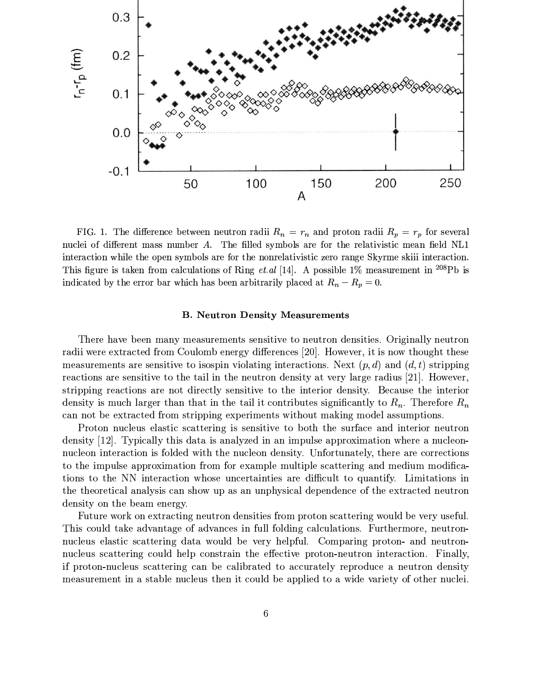

FIG. 1. The difference between neutron radii  $R_n = r_n$  and proton radii  $R_p = r_p$  for several nuclei of different mass number A. The filled symbols are for the relativistic mean field NL1 interaction while the open symbols are for the nonrelativistic zero range Skyrme skiii interaction. This figure is taken from calculations of Ring *et.al* [14]. A possible 1% measurement in <sup>208</sup>Pb is indicated by the error bar which has been arbitrarily placed at  $R_n - R_p = 0$ .

#### **B. Neutron Density Measurements**

There have been many measurements sensitive to neutron densities. Originally neutron radii were extracted from Coulomb energy differences [20]. However, it is now thought these measurements are sensitive to isospin violating interactions. Next  $(p, d)$  and  $(d, t)$  stripping reactions are sensitive to the tail in the neutron density at very large radius [21]. However, stripping reactions are not directly sensitive to the interior density. Because the interior density is much larger than that in the tail it contributes significantly to  $R_n$ . Therefore  $R_n$ can not be extracted from stripping experiments without making model assumptions.

Proton nucleus elastic scattering is sensitive to both the surface and interior neutron density [12]. Typically this data is analyzed in an impulse approximation where a nucleonnucleon interaction is folded with the nucleon density. Unfortunately, there are corrections to the impulse approximation from for example multiple scattering and medium modifications to the NN interaction whose uncertainties are difficult to quantify. Limitations in the theoretical analysis can show up as an unphysical dependence of the extracted neutron density on the beam energy.

Future work on extracting neutron densities from proton scattering would be very useful. This could take advantage of advances in full folding calculations. Furthermore, neutronnucleus elastic scattering data would be very helpful. Comparing proton- and neutronnucleus scattering could help constrain the effective proton-neutron interaction. Finally, if proton-nucleus scattering can be calibrated to accurately reproduce a neutron density measurement in a stable nucleus then it could be applied to a wide variety of other nuclei.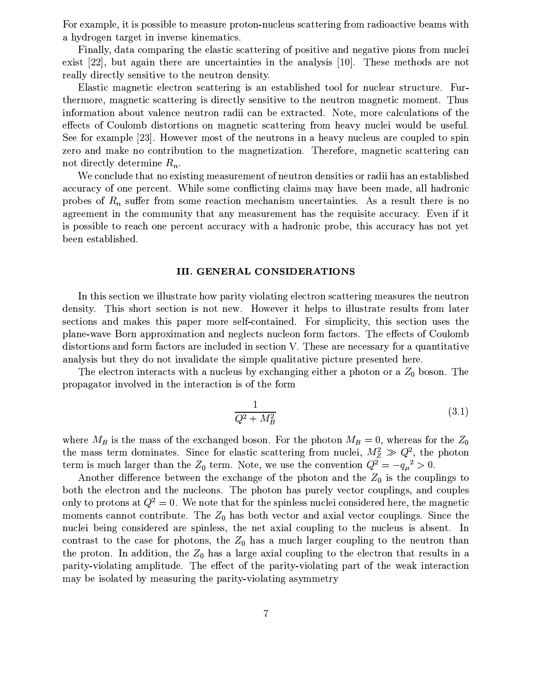For example, it is possible to measure proton-nucleus scattering from radioactive beams with a hydrogen target in inverse kinematics.

Finally, data comparing the elastic scattering of positive and negative pions from nuclei exist  $[22]$ , but again there are uncertainties in the analysis  $[10]$ . These methods are not really directly sensitive to the neutron density.

Elastic magnetic electron scattering is an established tool for nuclear structure. Furthermore, magnetic scattering is directly sensitive to the neutron magnetic moment. Thus information about valence neutron radii can be extracted. Note, more calculations of the effects of Coulomb distortions on magnetic scattering from heavy nuclei would be useful. See for example [23]. However most of the neutrons in a heavy nucleus are coupled to spin zero and make no contribution to the magnetization. Therefore, magnetic scattering can not directly determine  $R_n$ .

We conclude that no existing measurement of neutron densities or radii has an established accuracy of one percent. While some conflicting claims may have been made, all hadronic probes of  $R_n$  suffer from some reaction mechanism uncertainties. As a result there is no agreement in the community that any measurement has the requisite accuracy. Even if it is possible to reach one percent accuracy with a hadronic probe, this accuracy has not yet been established.

#### **III. GENERAL CONSIDERATIONS**

In this section we illustrate how parity violating electron scattering measures the neutron density. This short section is not new. However it helps to illustrate results from later sections and makes this paper more self-contained. For simplicity, this section uses the plane-wave Born approximation and neglects nucleon form factors. The effects of Coulomb distortions and form factors are included in section V. These are necessary for a quantitative analysis but they do not invalidate the simple qualitative picture presented here.

The electron interacts with a nucleus by exchanging either a photon or a  $Z_0$  boson. The propagator involved in the interaction is of the form

$$
\frac{1}{Q^2 + M_B^2} \tag{3.1}
$$

where  $M_B$  is the mass of the exchanged boson. For the photon  $M_B = 0$ , whereas for the  $Z_0$ the mass term dominates. Since for elastic scattering from nuclei,  $M_Z^2 \gg Q^2$ , the photon term is much larger than the  $Z_0$  term. Note, we use the convention  $Q^2 = -q_\mu^2 > 0$ .

Another difference between the exchange of the photon and the  $Z_0$  is the couplings to both the electron and the nucleons. The photon has purely vector couplings, and couples only to protons at  $Q^2 = 0$ . We note that for the spinless nuclei considered here, the magnetic moments cannot contribute. The  $Z_0$  has both vector and axial vector couplings. Since the nuclei being considered are spinless, the net axial coupling to the nucleus is absent. In contrast to the case for photons, the  $Z_0$  has a much larger coupling to the neutron than the proton. In addition, the  $Z_0$  has a large axial coupling to the electron that results in a parity-violating amplitude. The effect of the parity-violating part of the weak interaction may be isolated by measuring the parity-violating asymmetry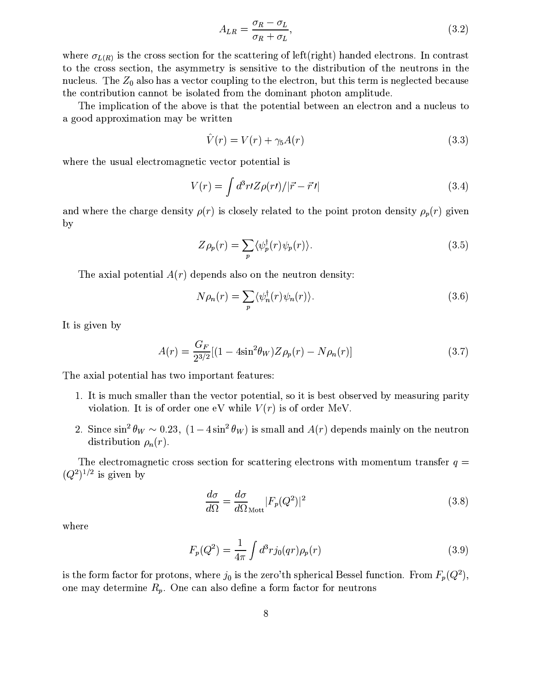$$
A_{LR} = \frac{\sigma_R - \sigma_L}{\sigma_R + \sigma_L},\tag{3.2}
$$

where  $\sigma_{L(R)}$  is the cross section for the scattering of left(right) handed electrons. In contrast to the cross section, the asymmetry is sensitive to the distribution of the neutrons in the nucleus. The  $Z_0$  also has a vector coupling to the electron, but this term is neglected because the contribution cannot be isolated from the dominant photon amplitude.

The implication of the above is that the potential between an electron and a nucleus to a good approximation may be written

$$
\hat{V}(r) = V(r) + \gamma_5 A(r) \tag{3.3}
$$

where the usual electromagnetic vector potential is

$$
V(r) = \int d^3r \, iZ \rho(r\prime) / |\vec{r} - \vec{r}\prime| \tag{3.4}
$$

and where the charge density  $\rho(r)$  is closely related to the point proton density  $\rho_p(r)$  given by

$$
Z\rho_p(r) = \sum_p \langle \psi_p^{\dagger}(r)\psi_p(r) \rangle.
$$
\n(3.5)

The axial potential  $A(r)$  depends also on the neutron density:

$$
N\rho_n(r) = \sum_p \langle \psi_n^{\dagger}(r)\psi_n(r) \rangle.
$$
 (3.6)

It is given by

$$
A(r) = \frac{G_F}{2^{3/2}}[(1 - 4\sin^2\theta_W)Z\rho_p(r) - N\rho_n(r)]
$$
\n(3.7)

The axial potential has two important features:

- 1. It is much smaller than the vector potential, so it is best observed by measuring parity violation. It is of order one eV while  $V(r)$  is of order MeV.
- 2. Since  $\sin^2 \theta_W \sim 0.23$ ,  $(1-4\sin^2 \theta_W)$  is small and  $A(r)$  depends mainly on the neutron distribution  $\rho_n(r)$ .

The electromagnetic cross section for scattering electrons with momentum transfer  $q =$  $(Q^2)^{1/2}$  is given by

$$
\frac{d\sigma}{d\Omega} = \frac{d\sigma}{d\Omega_{\text{Mott}}} |F_p(Q^2)|^2
$$
\n(3.8)

where

$$
F_p(Q^2) = \frac{1}{4\pi} \int d^3r j_0(qr) \rho_p(r) \tag{3.9}
$$

is the form factor for protons, where  $j_0$  is the zero'th spherical Bessel function. From  $F_p(Q^2)$ , one may determine  $R_p$ . One can also define a form factor for neutrons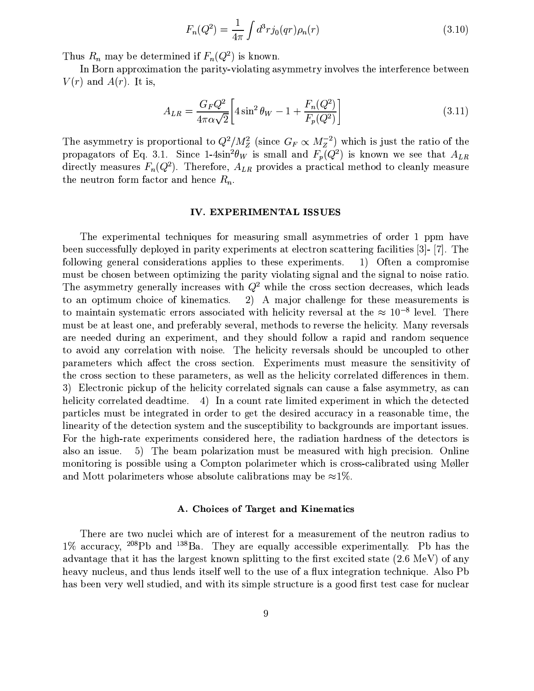$$
F_n(Q^2) = \frac{1}{4\pi} \int d^3r j_0(qr) \rho_n(r) \tag{3.10}
$$

Thus  $R_n$  may be determined if  $F_n(Q^2)$  is known.

In Born approximation the parity-violating asymmetry involves the interference between  $V(r)$  and  $A(r)$ . It is,

$$
A_{LR} = \frac{G_F Q^2}{4\pi\alpha\sqrt{2}} \left[ 4\sin^2\theta_W - 1 + \frac{F_n(Q^2)}{F_p(Q^2)} \right]
$$
(3.11)

The asymmetry is proportional to  $Q^2/M_Z^2$  (since  $G_F \propto M_Z^{-2}$ ) which is just the ratio of the propagators of Eq. 3.1. Since 1-4sin<sup>2</sup> $\theta_W$  is small and  $F_p(Q^2)$  is known we see that  $A_{LR}$ directly measures  $F_n(Q^2)$ . Therefore,  $A_{LR}$  provides a practical method to cleanly measure the neutron form factor and hence  $R_n$ .

#### **IV. EXPERIMENTAL ISSUES**

The experimental techniques for measuring small asymmetries of order 1 ppm have been successfully deployed in parity experiments at electron scattering facilities [3]- [7]. The following general considerations applies to these experiments. 1) Often a compromise must be chosen between optimizing the parity violating signal and the signal to noise ratio. The asymmetry generally increases with  $Q^2$  while the cross section decreases, which leads 2) A major challenge for these measurements is to an optimum choice of kinematics. to maintain systematic errors associated with helicity reversal at the  $\approx 10^{-8}$  level. There must be at least one, and preferably several, methods to reverse the helicity. Many reversals are needed during an experiment, and they should follow a rapid and random sequence to avoid any correlation with noise. The helicity reversals should be uncoupled to other parameters which affect the cross section. Experiments must measure the sensitivity of the cross section to these parameters, as well as the helicity correlated differences in them. 3) Electronic pickup of the helicity correlated signals can cause a false asymmetry, as can helicity correlated deadtime. 4) In a count rate limited experiment in which the detected particles must be integrated in order to get the desired accuracy in a reasonable time, the linearity of the detection system and the susceptibility to backgrounds are important issues. For the high-rate experiments considered here, the radiation hardness of the detectors is also an issue. 5) The beam polarization must be measured with high precision. Online monitoring is possible using a Compton polarimeter which is cross-calibrated using Møller and Mott polarimeters whose absolute calibrations may be  $\approx 1\%$ .

#### A. Choices of Target and Kinematics

There are two nuclei which are of interest for a measurement of the neutron radius to  $1\%$  accuracy,  $^{208}$ Pb and  $^{138}$ Ba. They are equally accessible experimentally. Pb has the advantage that it has the largest known splitting to the first excited state  $(2.6 \text{ MeV})$  of any heavy nucleus, and thus lends itself well to the use of a flux integration technique. Also Pb has been very well studied, and with its simple structure is a good first test case for nuclear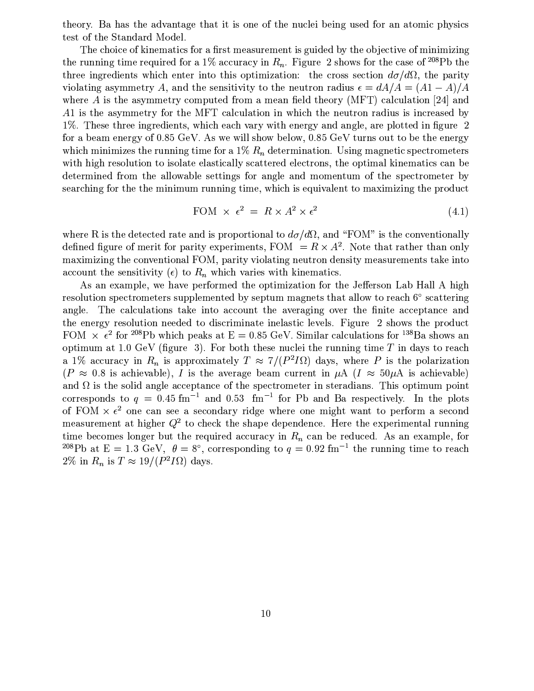theory. Ba has the advantage that it is one of the nuclei being used for an atomic physics test of the Standard Model.

The choice of kinematics for a first measurement is guided by the objective of minimizing the running time required for a 1\% accuracy in  $R_n$ . Figure 2 shows for the case of <sup>208</sup>Pb the three ingredients which enter into this optimization: the cross section  $d\sigma/d\Omega$ , the parity violating asymmetry A, and the sensitivity to the neutron radius  $\epsilon = dA/A = (A1 - A)/A$ where A is the asymmetry computed from a mean field theory (MFT) calculation [24] and A1 is the asymmetry for the MFT calculation in which the neutron radius is increased by 1%. These three ingredients, which each vary with energy and angle, are plotted in figure 2 for a beam energy of 0.85 GeV. As we will show below, 0.85 GeV turns out to be the energy which minimizes the running time for a  $1\%$   $R_n$  determination. Using magnetic spectrometers with high resolution to isolate elastically scattered electrons, the optimal kinematics can be determined from the allowable settings for angle and momentum of the spectrometer by searching for the the minimum running time, which is equivalent to maximizing the product

$$
\text{FOM} \times \epsilon^2 = R \times A^2 \times \epsilon^2 \tag{4.1}
$$

where R is the detected rate and is proportional to  $d\sigma/d\Omega$ , and "FOM" is the conventionally defined figure of merit for parity experiments, FOM =  $R \times A^2$ . Note that rather than only maximizing the conventional FOM, parity violating neutron density measurements take into account the sensitivity ( $\epsilon$ ) to  $R_n$  which varies with kinematics.

As an example, we have performed the optimization for the Jefferson Lab Hall A high resolution spectrometers supplemented by septum magnets that allow to reach 6° scattering angle. The calculations take into account the averaging over the finite acceptance and the energy resolution needed to discriminate inelastic levels. Figure 2 shows the product FOM  $\times$   $\epsilon^2$  for <sup>208</sup>Pb which peaks at E = 0.85 GeV. Similar calculations for <sup>138</sup>Ba shows an optimum at 1.0 GeV (figure 3). For both these nuclei the running time  $T$  in days to reach a 1% accuracy in  $R_n$  is approximately  $T \approx 7/(P^2 I \Omega)$  days, where P is the polarization  $(P \approx 0.8$  is achievable), I is the average beam current in  $\mu A$   $(I \approx 50\mu A$  is achievable) and  $\Omega$  is the solid angle acceptance of the spectrometer in steradians. This optimum point corresponds to  $q = 0.45$  fm<sup>-1</sup> and 0.53 fm<sup>-1</sup> for Pb and Ba respectively. In the plots of FOM  $\times e^2$  one can see a secondary ridge where one might want to perform a second measurement at higher  $Q^2$  to check the shape dependence. Here the experimental running time becomes longer but the required accuracy in  $R_n$  can be reduced. As an example, for <sup>208</sup>Pb at E = 1.3 GeV,  $\theta = 8^{\circ}$ , corresponding to  $q = 0.92$  fm<sup>-1</sup> the running time to reach  $2\%$  in  $R_n$  is  $T \approx 19/(P^2 I \Omega)$  days.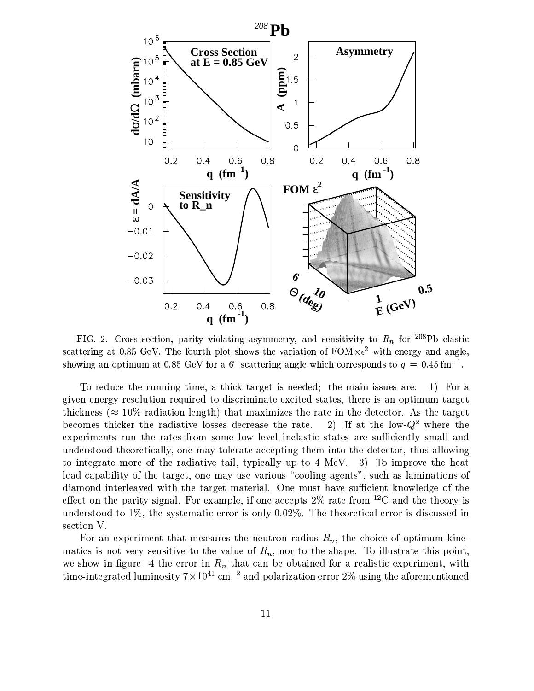

FIG. 2. Cross section, parity violating asymmetry, and sensitivity to  $R_n$  for <sup>208</sup>Pb elastic scattering at 0.85 GeV. The fourth plot shows the variation of  $\text{FOM} \times \epsilon^2$  with energy and angle, showing an optimum at 0.85 GeV for a  $6^{\circ}$  scattering angle which corresponds to  $q = 0.45$  fm<sup>-1</sup>.

To reduce the running time, a thick target is needed; the main issues are:  $1)$  For a given energy resolution required to discriminate excited states, there is an optimum target thickness ( $\approx 10\%$  radiation length) that maximizes the rate in the detector. As the target becomes thicker the radiative losses decrease the rate. 2) If at the low- $Q^2$  where the experiments run the rates from some low level inelastic states are sufficiently small and understood theoretically, one may tolerate accepting them into the detector, thus allowing to integrate more of the radiative tail, typically up to 4 MeV. 3) To improve the heat load capability of the target, one may use various "cooling agents", such as laminations of diamond interleaved with the target material. One must have sufficient knowledge of the effect on the parity signal. For example, if one accepts  $2\%$  rate from <sup>12</sup>C and the theory is understood to  $1\%$ , the systematic error is only 0.02%. The theoretical error is discussed in section V.

For an experiment that measures the neutron radius  $R_n$ , the choice of optimum kinematics is not very sensitive to the value of  $R_n$ , nor to the shape. To illustrate this point, we show in figure 4 the error in  $R_n$  that can be obtained for a realistic experiment, with time-integrated luminosity  $7 \times 10^{41}$  cm<sup>-2</sup> and polarization error 2% using the aforementioned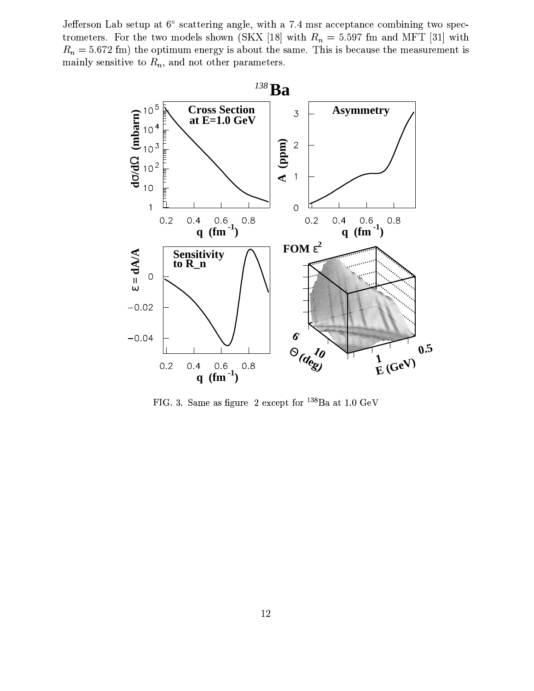Jefferson Lab setup at 6° scattering angle, with a 7.4 msr acceptance combining two spectrometers. For the two models shown (SKX [18] with  $R_n = 5.597$  fm and MFT [31] with  $R_n = 5.672$  fm) the optimum energy is about the same. This is because the measurement is mainly sensitive to  $R_n$ , and not other parameters.



FIG. 3. Same as figure 2 except for  $^{138}$ Ba at 1.0 GeV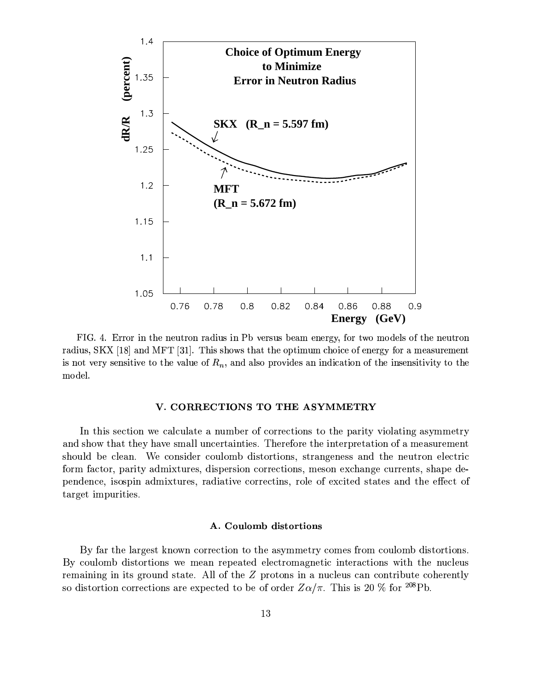

FIG. 4. Error in the neutron radius in Pb versus beam energy, for two models of the neutron radius, SKX [18] and MFT [31]. This shows that the optimum choice of energy for a measurement is not very sensitive to the value of  $R_n$ , and also provides an indication of the insensitivity to the model.

#### V. CORRECTIONS TO THE ASYMMETRY

In this section we calculate a number of corrections to the parity violating asymmetry and show that they have small uncertainties. Therefore the interpretation of a measurement should be clean. We consider coulomb distortions, strangeness and the neutron electric form factor, parity admixtures, dispersion corrections, meson exchange currents, shape dependence, isospin admixtures, radiative correctins, role of excited states and the effect of target impurities.

#### A. Coulomb distortions

By far the largest known correction to the asymmetry comes from coulomb distortions. By coulomb distortions we mean repeated electromagnetic interactions with the nucleus remaining in its ground state. All of the  $Z$  protons in a nucleus can contribute coherently so distortion corrections are expected to be of order  $Z\alpha/\pi$ . This is 20 % for <sup>208</sup>Pb.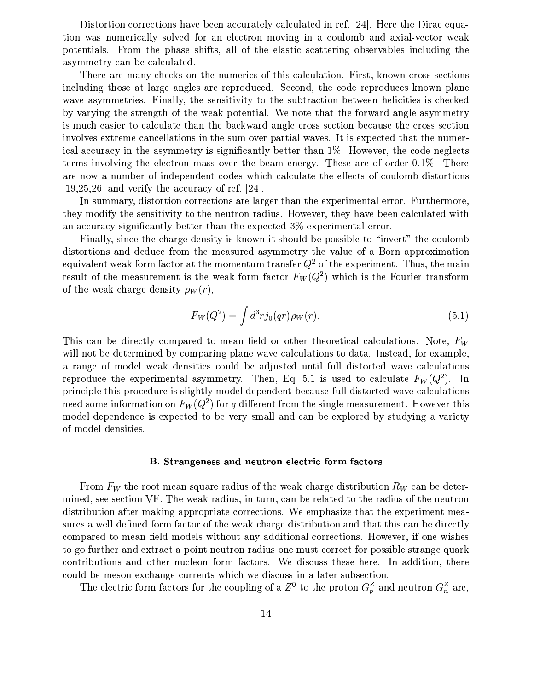Distortion corrections have been accurately calculated in ref. [24]. Here the Dirac equation was numerically solved for an electron moving in a coulomb and axial-vector weak potentials. From the phase shifts, all of the elastic scattering observables including the asymmetry can be calculated.

There are many checks on the numerics of this calculation. First, known cross sections including those at large angles are reproduced. Second, the code reproduces known plane wave asymmetries. Finally, the sensitivity to the subtraction between helicities is checked by varying the strength of the weak potential. We note that the forward angle asymmetry is much easier to calculate than the backward angle cross section because the cross section involves extreme cancellations in the sum over partial waves. It is expected that the numerical accuracy in the asymmetry is significantly better than 1\%. However, the code neglects terms involving the electron mass over the beam energy. These are of order  $0.1\%$ . There are now a number of independent codes which calculate the effects of coulomb distortions  $[19,25,26]$  and verify the accuracy of ref. [24].

In summary, distortion corrections are larger than the experimental error. Furthermore, they modify the sensitivity to the neutron radius. However, they have been calculated with an accuracy significantly better than the expected 3\% experimental error.

Finally, since the charge density is known it should be possible to "invert" the coulomb distortions and deduce from the measured asymmetry the value of a Born approximation equivalent weak form factor at the momentum transfer  $Q^2$  of the experiment. Thus, the main result of the measurement is the weak form factor  $F_W(Q^2)$  which is the Fourier transform of the weak charge density  $\rho_W(r)$ ,

$$
F_W(Q^2) = \int d^3r j_0(qr) \rho_W(r). \tag{5.1}
$$

This can be directly compared to mean field or other theoretical calculations. Note,  $F_W$ will not be determined by comparing plane wave calculations to data. Instead, for example, a range of model weak densities could be adjusted until full distorted wave calculations reproduce the experimental asymmetry. Then, Eq. 5.1 is used to calculate  $F_W(Q^2)$ . In principle this procedure is slightly model dependent because full distorted wave calculations need some information on  $F_W(Q^2)$  for q different from the single measurement. However this model dependence is expected to be very small and can be explored by studying a variety of model densities.

#### B. Strangeness and neutron electric form factors

From  $F_W$  the root mean square radius of the weak charge distribution  $R_W$  can be determined, see section VF. The weak radius, in turn, can be related to the radius of the neutron distribution after making appropriate corrections. We emphasize that the experiment measures a well defined form factor of the weak charge distribution and that this can be directly compared to mean field models without any additional corrections. However, if one wishes to go further and extract a point neutron radius one must correct for possible strange quark contributions and other nucleon form factors. We discuss these here. In addition, there could be meson exchange currents which we discuss in a later subsection.

The electric form factors for the coupling of a  $Z^0$  to the proton  $G_p^Z$  and neutron  $G_n^Z$  are,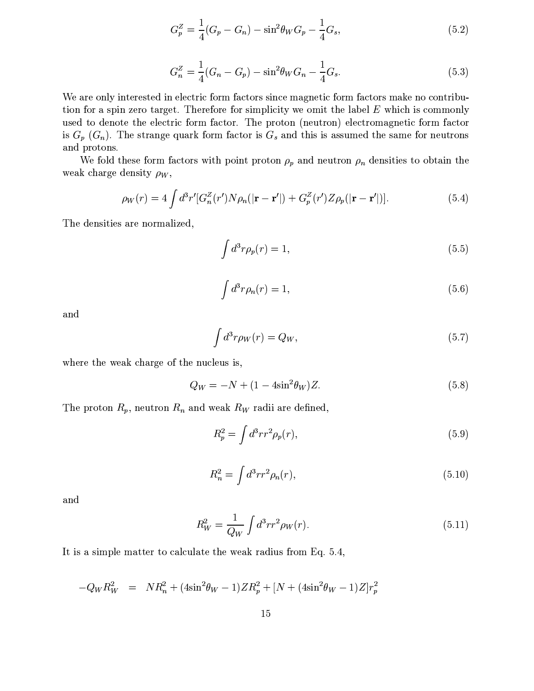$$
G_p^Z = \frac{1}{4}(G_p - G_n) - \sin^2\theta_W G_p - \frac{1}{4}G_s,
$$
\n(5.2)

$$
G_n^Z = \frac{1}{4}(G_n - G_p) - \sin^2 \theta_W G_n - \frac{1}{4}G_s.
$$
\n(5.3)

We are only interested in electric form factors since magnetic form factors make no contribution for a spin zero target. Therefore for simplicity we omit the label  $E$  which is commonly used to denote the electric form factor. The proton (neutron) electromagnetic form factor is  $G_p(G_n)$ . The strange quark form factor is  $G_s$  and this is assumed the same for neutrons and protons.

We fold these form factors with point proton  $\rho_p$  and neutron  $\rho_n$  densities to obtain the weak charge density  $\rho_W$ ,

$$
\rho_W(r) = 4 \int d^3 r' [G_n^Z(r') N \rho_n(|\mathbf{r} - \mathbf{r}'|) + G_p^Z(r') Z \rho_p(|\mathbf{r} - \mathbf{r}'|)]. \tag{5.4}
$$

The densities are normalized,

$$
\int d^3r \rho_p(r) = 1,\tag{5.5}
$$

$$
\int d^3r \rho_n(r) = 1,\tag{5.6}
$$

and

$$
\int d^3r \rho_W(r) = Q_W,\tag{5.7}
$$

where the weak charge of the nucleus is,

$$
Q_W = -N + (1 - 4\sin^2 \theta_W) Z.
$$
 (5.8)

The proton  $R_p$ , neutron  $R_n$  and weak  $R_W$  radii are defined,

$$
R_p^2 = \int d^3 r r^2 \rho_p(r), \tag{5.9}
$$

$$
R_n^2 = \int d^3r r^2 \rho_n(r), \tag{5.10}
$$

and

$$
R_W^2 = \frac{1}{Q_W} \int d^3 r \, r^2 \rho_W(r). \tag{5.11}
$$

It is a simple matter to calculate the weak radius from Eq. 5.4,

$$
-Q_W R_W^2 = NR_n^2 + (4\sin^2\theta_W - 1)ZR_p^2 + [N + (4\sin^2\theta_W - 1)Z]r_p^2
$$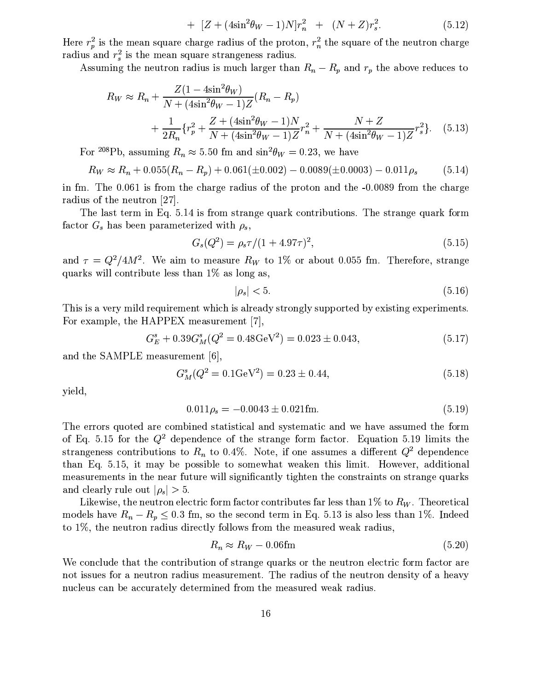+ 
$$
[Z + (4\sin^2\theta_W - 1)N]r_n^2 + (N + Z)r_s^2.
$$
 (5.12)

Here  $r_p^2$  is the mean square charge radius of the proton,  $r_n^2$  the square of the neutron charge radius and  $r_s^2$  is the mean square strangeness radius.

Assuming the neutron radius is much larger than  $R_n - R_p$  and  $r_p$  the above reduces to

$$
R_W \approx R_n + \frac{Z(1 - 4\sin^2\theta_W)}{N + (4\sin^2\theta_W - 1)Z}(R_n - R_p)
$$
  
+ 
$$
\frac{1}{2R_n} \{r_p^2 + \frac{Z + (4\sin^2\theta_W - 1)N}{N + (4\sin^2\theta_W - 1)Z}r_n^2 + \frac{N + Z}{N + (4\sin^2\theta_W - 1)Z}r_s^2\}.
$$
 (5.13)

For <sup>208</sup>Pb, assuming  $R_n \approx 5.50$  fm and  $\sin^2 \theta_W = 0.23$ , we have

$$
R_W \approx R_n + 0.055(R_n - R_p) + 0.061(\pm 0.002) - 0.0089(\pm 0.0003) - 0.011\rho_s \tag{5.14}
$$

in fm. The 0.061 is from the charge radius of the proton and the -0.0089 from the charge radius of the neutron [27].

The last term in Eq. 5.14 is from strange quark contributions. The strange quark form factor  $G_s$  has been parameterized with  $\rho_s$ ,

$$
G_s(Q^2) = \rho_s \tau / (1 + 4.97\tau)^2, \tag{5.15}
$$

and  $\tau = Q^2/4M^2$ . We aim to measure  $R_W$  to 1% or about 0.055 fm. Therefore, strange quarks will contribute less than  $1\%$  as long as,

$$
|\rho_s| < 5. \tag{5.16}
$$

This is a very mild requirement which is already strongly supported by existing experiments. For example, the HAPPEX measurement [7],

$$
G_E^s + 0.39G_M^s(Q^2 = 0.48 \text{GeV}^2) = 0.023 \pm 0.043,\tag{5.17}
$$

and the SAMPLE measurement [6],

$$
G_M^s(Q^2 = 0.1 \text{GeV}^2) = 0.23 \pm 0.44,\tag{5.18}
$$

yield,

$$
0.011\rho_s = -0.0043 \pm 0.021 \text{fm}.\tag{5.19}
$$

The errors quoted are combined statistical and systematic and we have assumed the form of Eq. 5.15 for the  $Q^2$  dependence of the strange form factor. Equation 5.19 limits the strangeness contributions to  $R_n$  to 0.4%. Note, if one assumes a different  $Q^2$  dependence than Eq. 5.15, it may be possible to somewhat weaken this limit. However, additional measurements in the near future will significantly tighten the constraints on strange quarks and clearly rule out  $|\rho_s| > 5$ .

Likewise, the neutron electric form factor contributes far less than  $1\%$  to  $R_W$ . Theoretical models have  $R_n - R_p \leq 0.3$  fm, so the second term in Eq. 5.13 is also less than 1%. Indeed to 1%, the neutron radius directly follows from the measured weak radius,

$$
R_n \approx R_W - 0.06 \text{fm} \tag{5.20}
$$

We conclude that the contribution of strange quarks or the neutron electric form factor are not issues for a neutron radius measurement. The radius of the neutron density of a heavy nucleus can be accurately determined from the measured weak radius.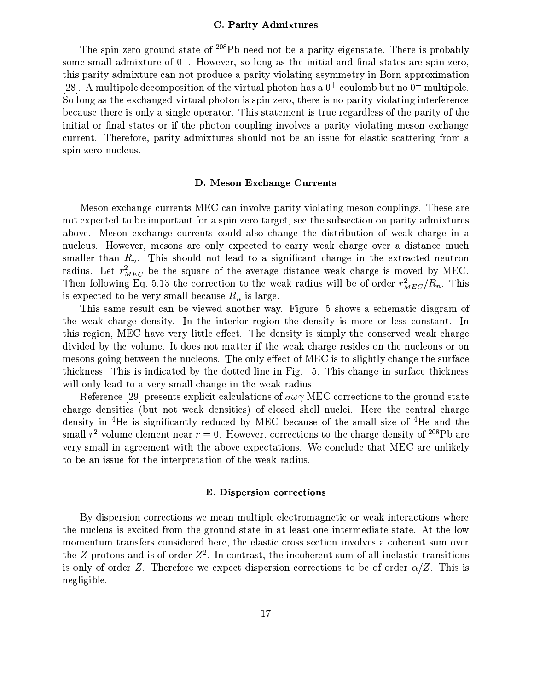#### C. Parity Admixtures

The spin zero ground state of  $^{208}$ Pb need not be a parity eigenstate. There is probably some small admixture of  $0^-$ . However, so long as the initial and final states are spin zero, this parity admixture can not produce a parity violating asymmetry in Born approximation [28]. A multipole decomposition of the virtual photon has a  $0^+$  coulomb but no  $0^-$  multipole. So long as the exchanged virtual photon is spin zero, there is no parity violating interference because there is only a single operator. This statement is true regardless of the parity of the initial or final states or if the photon coupling involves a parity violating meson exchange current. Therefore, parity admixtures should not be an issue for elastic scattering from a spin zero nucleus.

### D. Meson Exchange Currents

Meson exchange currents MEC can involve parity violating meson couplings. These are not expected to be important for a spin zero target, see the subsection on parity admixtures above. Meson exchange currents could also change the distribution of weak charge in a nucleus. However, mesons are only expected to carry weak charge over a distance much smaller than  $R_n$ . This should not lead to a significant change in the extracted neutron radius. Let  $r_{MEC}^2$  be the square of the average distance weak charge is moved by MEC. Then following Eq. 5.13 the correction to the weak radius will be of order  $r_{MEC}^2/R_n$ . This is expected to be very small because  $R_n$  is large.

This same result can be viewed another way. Figure 5 shows a schematic diagram of the weak charge density. In the interior region the density is more or less constant. In this region, MEC have very little effect. The density is simply the conserved weak charge divided by the volume. It does not matter if the weak charge resides on the nucleons or on mesons going between the nucleons. The only effect of MEC is to slightly change the surface thickness. This is indicated by the dotted line in Fig. 5. This change in surface thickness will only lead to a very small change in the weak radius.

Reference [29] presents explicit calculations of  $\sigma \omega \gamma$  MEC corrections to the ground state charge densities (but not weak densities) of closed shell nuclei. Here the central charge density in <sup>4</sup>He is significantly reduced by MEC because of the small size of <sup>4</sup>He and the small  $r^2$  volume element near  $r = 0$ . However, corrections to the charge density of <sup>208</sup>Pb are very small in agreement with the above expectations. We conclude that MEC are unlikely to be an issue for the interpretation of the weak radius.

#### E. Dispersion corrections

By dispersion corrections we mean multiple electromagnetic or weak interactions where the nucleus is excited from the ground state in at least one intermediate state. At the low momentum transfers considered here, the elastic cross section involves a coherent sum over the Z protons and is of order  $Z^2$ . In contrast, the incoherent sum of all inelastic transitions is only of order Z. Therefore we expect dispersion corrections to be of order  $\alpha/Z$ . This is negligible.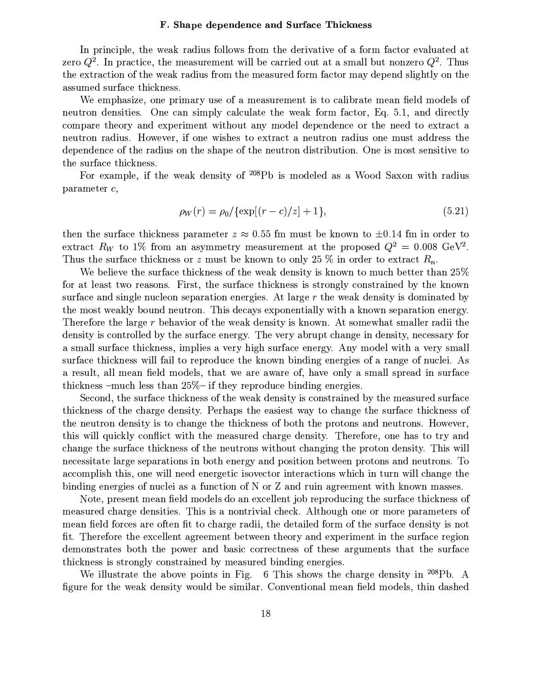#### F. Shape dependence and Surface Thickness

In principle, the weak radius follows from the derivative of a form factor evaluated at zero  $Q^2$ . In practice, the measurement will be carried out at a small but nonzero  $Q^2$ . Thus the extraction of the weak radius from the measured form factor may depend slightly on the assumed surface thickness.

We emphasize, one primary use of a measurement is to calibrate mean field models of neutron densities. One can simply calculate the weak form factor, Eq. 5.1, and directly compare theory and experiment without any model dependence or the need to extract a neutron radius. However, if one wishes to extract a neutron radius one must address the dependence of the radius on the shape of the neutron distribution. One is most sensitive to the surface thickness.

For example, if the weak density of  $^{208}Pb$  is modeled as a Wood Saxon with radius parameter  $c$ ,

$$
\rho_W(r) = \rho_0 / {\exp[(r - c)/z] + 1},\tag{5.21}
$$

then the surface thickness parameter  $z \approx 0.55$  fm must be known to  $\pm 0.14$  fm in order to extract  $R_W$  to 1% from an asymmetry measurement at the proposed  $Q^2 = 0.008 \text{ GeV}^2$ . Thus the surface thickness or z must be known to only 25  $\%$  in order to extract  $R_n$ .

We believe the surface thickness of the weak density is known to much better than  $25\%$ for at least two reasons. First, the surface thickness is strongly constrained by the known surface and single nucleon separation energies. At large  $r$  the weak density is dominated by the most weakly bound neutron. This decays exponentially with a known separation energy. Therefore the large r behavior of the weak density is known. At somewhat smaller radii the density is controlled by the surface energy. The very abrupt change in density, necessary for a small surface thickness, implies a very high surface energy. Any model with a very small surface thickness will fail to reproduce the known binding energies of a range of nuclei. As a result, all mean field models, that we are aware of, have only a small spread in surface thickness  $-\text{much}$  less than  $25\%$  if they reproduce binding energies.

Second, the surface thickness of the weak density is constrained by the measured surface thickness of the charge density. Perhaps the easiest way to change the surface thickness of the neutron density is to change the thickness of both the protons and neutrons. However, this will quickly conflict with the measured charge density. Therefore, one has to try and change the surface thickness of the neutrons without changing the proton density. This will necessitate large separations in both energy and position between protons and neutrons. To accomplish this, one will need energetic isovector interactions which in turn will change the binding energies of nuclei as a function of N or Z and ruin agreement with known masses.

Note, present mean field models do an excellent job reproducing the surface thickness of measured charge densities. This is a nontrivial check. Although one or more parameters of mean field forces are often fit to charge radii, the detailed form of the surface density is not fit. Therefore the excellent agreement between theory and experiment in the surface region demonstrates both the power and basic correctness of these arguments that the surface thickness is strongly constrained by measured binding energies.

We illustrate the above points in Fig. 6 This shows the charge density in  $^{208}Pb$ . A figure for the weak density would be similar. Conventional mean field models, thin dashed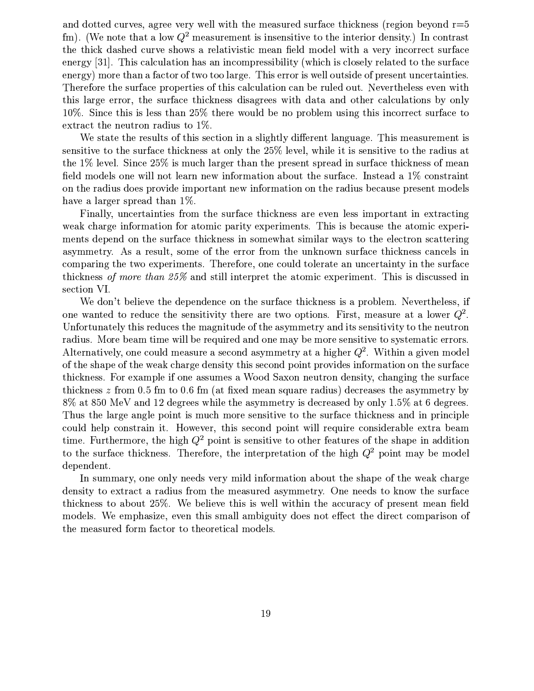and dotted curves, agree very well with the measured surface thickness (region beyond  $r=5$ fm). (We note that a low  $Q^2$  measurement is insensitive to the interior density.) In contrast the thick dashed curve shows a relativistic mean field model with a very incorrect surface energy [31]. This calculation has an incompressibility (which is closely related to the surface energy) more than a factor of two too large. This error is well outside of present uncertainties. Therefore the surface properties of this calculation can be ruled out. Nevertheless even with this large error, the surface thickness disagrees with data and other calculations by only 10%. Since this is less than 25% there would be no problem using this incorrect surface to extract the neutron radius to  $1\%$ .

We state the results of this section in a slightly different language. This measurement is sensitive to the surface thickness at only the  $25\%$  level, while it is sensitive to the radius at the  $1\%$  level. Since  $25\%$  is much larger than the present spread in surface thickness of mean field models one will not learn new information about the surface. Instead a 1\% constraint on the radius does provide important new information on the radius because present models have a larger spread than  $1\%$ .

Finally, uncertainties from the surface thickness are even less important in extracting weak charge information for atomic parity experiments. This is because the atomic experiments depend on the surface thickness in somewhat similar ways to the electron scattering asymmetry. As a result, some of the error from the unknown surface thickness cancels in comparing the two experiments. Therefore, one could tolerate an uncertainty in the surface thickness of more than 25% and still interpret the atomic experiment. This is discussed in section VI.

We don't believe the dependence on the surface thickness is a problem. Nevertheless, if one wanted to reduce the sensitivity there are two options. First, measure at a lower  $Q^2$ . Unfortunately this reduces the magnitude of the asymmetry and its sensitivity to the neutron radius. More beam time will be required and one may be more sensitive to systematic errors. Alternatively, one could measure a second asymmetry at a higher  $Q^2$ . Within a given model of the shape of the weak charge density this second point provides information on the surface thickness. For example if one assumes a Wood Saxon neutron density, changing the surface thickness  $z$  from 0.5 fm to 0.6 fm (at fixed mean square radius) decreases the asymmetry by  $8\%$  at 850 MeV and 12 degrees while the asymmetry is decreased by only 1.5% at 6 degrees. Thus the large angle point is much more sensitive to the surface thickness and in principle could help constrain it. However, this second point will require considerable extra beam time. Furthermore, the high  $Q^2$  point is sensitive to other features of the shape in addition to the surface thickness. Therefore, the interpretation of the high  $Q^2$  point may be model dependent.

In summary, one only needs very mild information about the shape of the weak charge density to extract a radius from the measured asymmetry. One needs to know the surface thickness to about 25%. We believe this is well within the accuracy of present mean field models. We emphasize, even this small ambiguity does not effect the direct comparison of the measured form factor to theoretical models.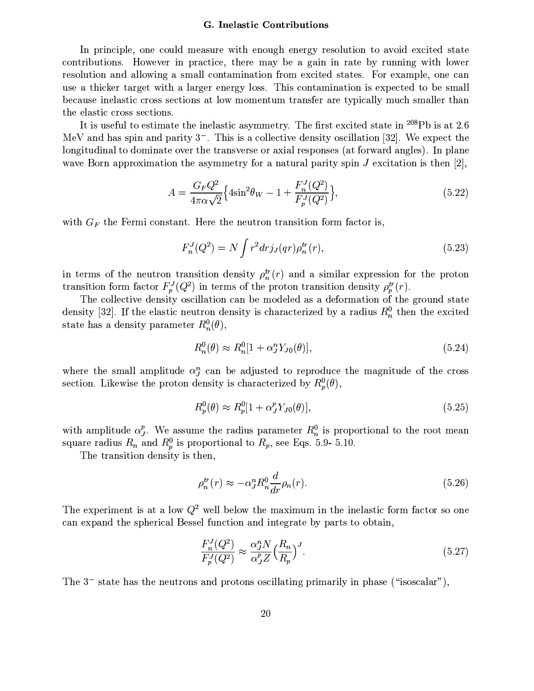#### G. Inelastic Contributions

In principle, one could measure with enough energy resolution to avoid excited state contributions. However in practice, there may be a gain in rate by running with lower resolution and allowing a small contamination from excited states. For example, one can use a thicker target with a larger energy loss. This contamination is expected to be small because inelastic cross sections at low momentum transfer are typically much smaller than the elastic cross sections.

It is useful to estimate the inelastic asymmetry. The first excited state in  $^{208}Pb$  is at 2.6 MeV and has spin and parity  $3^-$ . This is a collective density oscillation [32]. We expect the longitudinal to dominate over the transverse or axial responses (at forward angles). In plane wave Born approximation the asymmetry for a natural parity spin  $J$  excitation is then [2],

$$
A = \frac{G_F Q^2}{4\pi \alpha \sqrt{2}} \left\{ 4\sin^2 \theta_W - 1 + \frac{F_n^J(Q^2)}{F_p^J(Q^2)} \right\},\tag{5.22}
$$

with  $G_F$  the Fermi constant. Here the neutron transition form factor is,

$$
F_n^J(Q^2) = N \int r^2 dr j_J(qr) \rho_n^{tr}(r), \qquad (5.23)
$$

in terms of the neutron transition density  $\rho_n^{tr}(r)$  and a similar expression for the proton transition form factor  $F_p^J(Q^2)$  in terms of the proton transition density  $\rho_p^{tr}(r)$ .

The collective density oscillation can be modeled as a deformation of the ground state density [32]. If the elastic neutron density is characterized by a radius  $R_n^0$  then the excited state has a density parameter  $R_n^0(\theta)$ ,

$$
R_n^0(\theta) \approx R_n^0[1 + \alpha_J^n Y_{J0}(\theta)],
$$
\n(5.24)

where the small amplitude  $\alpha_I^n$  can be adjusted to reproduce the magnitude of the cross section. Likewise the proton density is characterized by  $R_p^0(\theta)$ ,

$$
R_p^0(\theta) \approx R_p^0[1 + \alpha_J^p Y_{J0}(\theta)],
$$
\n(5.25)

with amplitude  $\alpha_J^p$ . We assume the radius parameter  $R_n^0$  is proportional to the root mean square radius  $R_n$  and  $R_p^0$  is proportional to  $R_p$ , see Eqs. 5.9- 5.10.

The transition density is then,

$$
\rho_n^{tr}(r) \approx -\alpha_J^n R_n^0 \frac{d}{dr} \rho_n(r). \tag{5.26}
$$

The experiment is at a low  $Q^2$  well below the maximum in the inelastic form factor so one can expand the spherical Bessel function and integrate by parts to obtain,

$$
\frac{F_n^J(Q^2)}{F_p^J(Q^2)} \approx \frac{\alpha_J^n N}{\alpha_J^p Z} \left(\frac{R_n}{R_p}\right)^J.
$$
\n(5.27)

The  $3^-$  state has the neutrons and protons oscillating primarily in phase ("isoscalar"),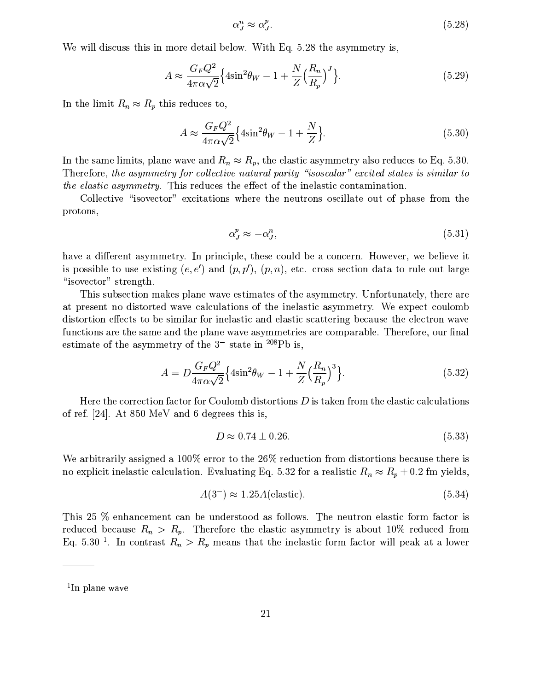$$
\alpha_J^n \approx \alpha_J^p. \tag{5.28}
$$

We will discuss this in more detail below. With Eq. 5.28 the asymmetry is,

$$
A \approx \frac{G_F Q^2}{4\pi \alpha \sqrt{2}} \left\{ 4\sin^2 \theta_W - 1 + \frac{N}{Z} \left(\frac{R_n}{R_p}\right)^J \right\}.
$$
 (5.29)

In the limit  $R_n \approx R_p$  this reduces to,

$$
A \approx \frac{G_F Q^2}{4\pi \alpha \sqrt{2}} \left\{ 4\sin^2 \theta_W - 1 + \frac{N}{Z} \right\}.
$$
\n(5.30)

In the same limits, plane wave and  $R_n \approx R_p$ , the elastic asymmetry also reduces to Eq. 5.30. Therefore, the asymmetry for collective natural parity "isoscalar" excited states is similar to *the elastic asymmetry.* This reduces the effect of the inelastic contamination.

Collective "isovector" excitations where the neutrons oscillate out of phase from the protons,

$$
\alpha_J^p \approx -\alpha_J^n,\tag{5.31}
$$

have a different asymmetry. In principle, these could be a concern. However, we believe it is possible to use existing  $(e, e')$  and  $(p, p')$ ,  $(p, n)$ , etc. cross section data to rule out large "isovector" strength.

This subsection makes plane wave estimates of the asymmetry. Unfortunately, there are at present no distorted wave calculations of the inelastic asymmetry. We expect coulomb distortion effects to be similar for inelastic and elastic scattering because the electron wave functions are the same and the plane wave asymmetries are comparable. Therefore, our final estimate of the asymmetry of the  $3^-$  state in  $^{208}Pb$  is,

$$
A = D \frac{G_F Q^2}{4\pi \alpha \sqrt{2}} \left\{ 4\sin^2 \theta_W - 1 + \frac{N}{Z} \left(\frac{R_n}{R_p}\right)^3 \right\}.
$$
 (5.32)

Here the correction factor for Coulomb distortions  $D$  is taken from the elastic calculations of ref. [24]. At  $850 \text{ MeV}$  and 6 degrees this is,

$$
D \approx 0.74 \pm 0.26. \tag{5.33}
$$

We arbitrarily assigned a 100% error to the  $26\%$  reduction from distortions because there is no explicit inelastic calculation. Evaluating Eq. 5.32 for a realistic  $R_n \approx R_p + 0.2$  fm yields,

$$
A(3^-) \approx 1.25A(\text{elastic}).\tag{5.34}
$$

This 25 % enhancement can be understood as follows. The neutron elastic form factor is reduced because  $R_n > R_p$ . Therefore the elastic asymmetry is about 10% reduced from Eq. 5.30<sup>-1</sup>. In contrast  $R_n > R_p$  means that the inelastic form factor will peak at a lower

<sup>&</sup>lt;sup>1</sup>In plane wave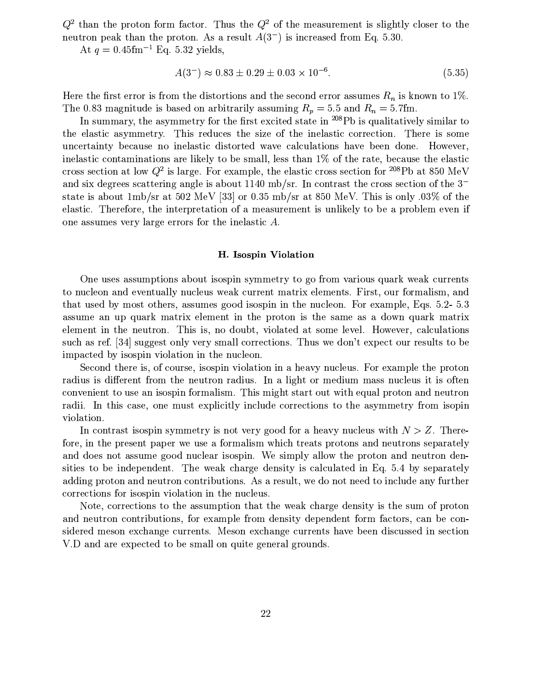$Q^2$  than the proton form factor. Thus the  $Q^2$  of the measurement is slightly closer to the neutron peak than the proton. As a result  $A(3^-)$  is increased from Eq. 5.30.

At  $q = 0.45$ fm<sup>-1</sup> Eq. 5.32 yields,

$$
A(3^-) \approx 0.83 \pm 0.29 \pm 0.03 \times 10^{-6}.\tag{5.35}
$$

Here the first error is from the distortions and the second error assumes  $R_n$  is known to 1%. The 0.83 magnitude is based on arbitrarily assuming  $R_p = 5.5$  and  $R_n = 5.7$ fm.

In summary, the asymmetry for the first excited state in  $^{208}Pb$  is qualitatively similar to the elastic asymmetry. This reduces the size of the inelastic correction. There is some uncertainty because no inelastic distorted wave calculations have been done. However, inelastic contaminations are likely to be small, less than  $1\%$  of the rate, because the elastic cross section at low  $Q^2$  is large. For example, the elastic cross section for <sup>208</sup>Pb at 850 MeV and six degrees scattering angle is about 1140 mb/sr. In contrast the cross section of the  $3$ state is about 1mb/sr at 502 MeV [33] or 0.35 mb/sr at 850 MeV. This is only 0.03% of the elastic. Therefore, the interpretation of a measurement is unlikely to be a problem even if one assumes very large errors for the inelastic A.

#### H. Isospin Violation

One uses assumptions about isospin symmetry to go from various quark weak currents to nucleon and eventually nucleus weak current matrix elements. First, our formalism, and that used by most others, assumes good isospin in the nucleon. For example, Eqs. 5.2- 5.3 assume an up quark matrix element in the proton is the same as a down quark matrix element in the neutron. This is, no doubt, violated at some level. However, calculations such as ref. [34] suggest only very small corrections. Thus we don't expect our results to be impacted by isospin violation in the nucleon.

Second there is, of course, isospin violation in a heavy nucleus. For example the proton radius is different from the neutron radius. In a light or medium mass nucleus it is often convenient to use an isospin formalism. This might start out with equal proton and neutron radii. In this case, one must explicitly include corrections to the asymmetry from isopin violation.

In contrast isospin symmetry is not very good for a heavy nucleus with  $N > Z$ . Therefore, in the present paper we use a formalism which treats protons and neutrons separately and does not assume good nuclear isospin. We simply allow the proton and neutron densities to be independent. The weak charge density is calculated in Eq. 5.4 by separately adding proton and neutron contributions. As a result, we do not need to include any further corrections for isospin violation in the nucleus.

Note, corrections to the assumption that the weak charge density is the sum of proton and neutron contributions, for example from density dependent form factors, can be considered meson exchange currents. Meson exchange currents have been discussed in section V.D and are expected to be small on quite general grounds.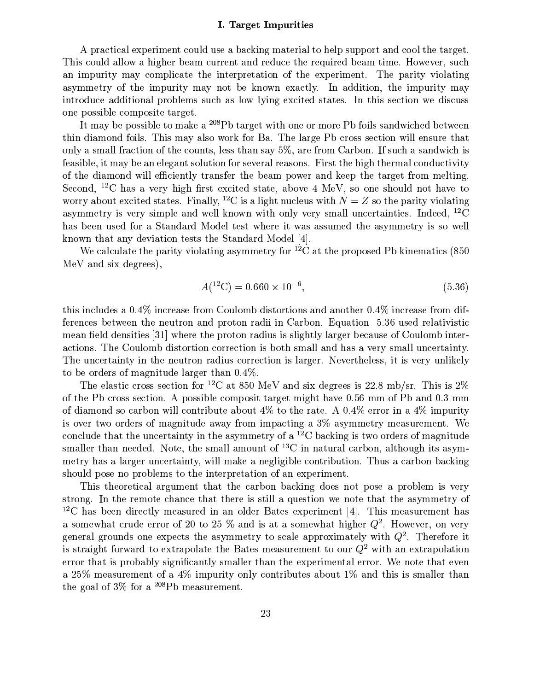#### I. Target Impurities

A practical experiment could use a backing material to help support and cool the target. This could allow a higher beam current and reduce the required beam time. However, such an impurity may complicate the interpretation of the experiment. The parity violating asymmetry of the impurity may not be known exactly. In addition, the impurity may introduce additional problems such as low lying excited states. In this section we discuss one possible composite target.

It may be possible to make a <sup>208</sup>Pb target with one or more Pb foils sandwiched between thin diamond foils. This may also work for Ba. The large Pb cross section will ensure that only a small fraction of the counts, less than say 5%, are from Carbon. If such a sandwich is feasible, it may be an elegant solution for several reasons. First the high thermal conductivity of the diamond will efficiently transfer the beam power and keep the target from melting. Second, <sup>12</sup>C has a very high first excited state, above 4 MeV, so one should not have to worry about excited states. Finally, <sup>12</sup>C is a light nucleus with  $N = Z$  so the parity violating asymmetry is very simple and well known with only very small uncertainties. Indeed,  $^{12}$ C has been used for a Standard Model test where it was assumed the asymmetry is so well known that any deviation tests the Standard Model [4].

We calculate the parity violating asymmetry for <sup>12</sup>C at the proposed Pb kinematics (850) MeV and six degrees),

$$
A^{(12}\text{C}) = 0.660 \times 10^{-6},\tag{5.36}
$$

this includes a 0.4% increase from Coulomb distortions and another  $0.4\%$  increase from differences between the neutron and proton radii in Carbon. Equation 5.36 used relativistic mean field densities [31] where the proton radius is slightly larger because of Coulomb interactions. The Coulomb distortion correction is both small and has a very small uncertainty. The uncertainty in the neutron radius correction is larger. Nevertheless, it is very unlikely to be orders of magnitude larger than  $0.4\%$ .

The elastic cross section for <sup>12</sup>C at 850 MeV and six degrees is 22.8 mb/sr. This is 2\% of the Pb cross section. A possible composit target might have 0.56 mm of Pb and 0.3 mm of diamond so carbon will contribute about 4\% to the rate. A 0.4\% error in a 4\% impurity is over two orders of magnitude away from impacting a  $3\%$  asymmetry measurement. We conclude that the uncertainty in the asymmetry of a <sup>12</sup>C backing is two orders of magnitude smaller than needed. Note, the small amount of  ${}^{13}C$  in natural carbon, although its asymmetry has a larger uncertainty, will make a negligible contribution. Thus a carbon backing should pose no problems to the interpretation of an experiment.

This theoretical argument that the carbon backing does not pose a problem is very strong. In the remote chance that there is still a question we note that the asymmetry of <sup>12</sup>C has been directly measured in an older Bates experiment [4]. This measurement has a somewhat crude error of 20 to 25  $\%$  and is at a somewhat higher  $Q^2$ . However, on very general grounds one expects the asymmetry to scale approximately with  $Q^2$ . Therefore it is straight forward to extrapolate the Bates measurement to our  $Q^2$  with an extrapolation error that is probably significantly smaller than the experimental error. We note that even a 25% measurement of a 4% impurity only contributes about 1% and this is smaller than the goal of  $3\%$  for a <sup>208</sup>Pb measurement.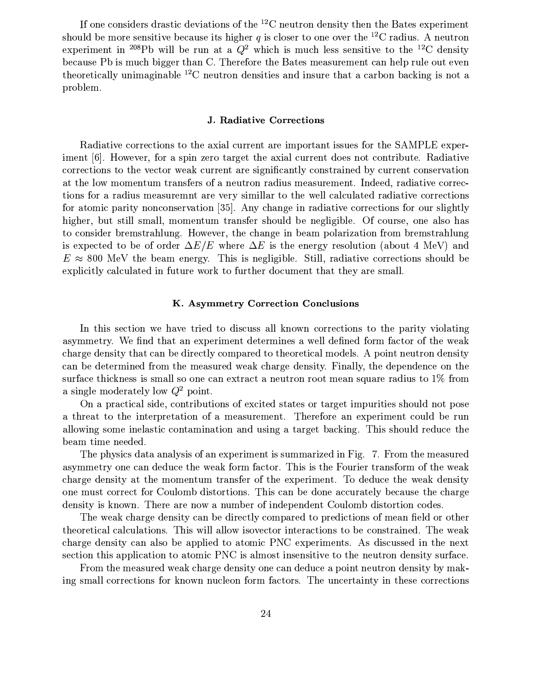If one considers drastic deviations of the  ${}^{12}$ C neutron density then the Bates experiment should be more sensitive because its higher q is closer to one over the <sup>12</sup>C radius. A neutron experiment in <sup>208</sup>Pb will be run at a  $Q^2$  which is much less sensitive to the <sup>12</sup>C density because Pb is much bigger than C. Therefore the Bates measurement can help rule out even theoretically unimaginable  ${}^{12}C$  neutron densities and insure that a carbon backing is not a problem.

## **J. Radiative Corrections**

Radiative corrections to the axial current are important issues for the SAMPLE experiment [6]. However, for a spin zero target the axial current does not contribute. Radiative corrections to the vector weak current are significantly constrained by current conservation at the low momentum transfers of a neutron radius measurement. Indeed, radiative corrections for a radius measuremnt are very simillar to the well calculated radiative corrections for atomic parity nonconservation [35]. Any change in radiative corrections for our slightly higher, but still small, momentum transfer should be negligible. Of course, one also has to consider bremstrahlung. However, the change in beam polarization from bremstrahlung is expected to be of order  $\Delta E/E$  where  $\Delta E$  is the energy resolution (about 4 MeV) and  $E \approx 800$  MeV the beam energy. This is negligible. Still, radiative corrections should be explicitly calculated in future work to further document that they are small.

### K. Asymmetry Correction Conclusions

In this section we have tried to discuss all known corrections to the parity violating asymmetry. We find that an experiment determines a well defined form factor of the weak charge density that can be directly compared to theoretical models. A point neutron density can be determined from the measured weak charge density. Finally, the dependence on the surface thickness is small so one can extract a neutron root mean square radius to  $1\%$  from a single moderately low  $Q^2$  point.

On a practical side, contributions of excited states or target impurities should not pose a threat to the interpretation of a measurement. Therefore an experiment could be run allowing some inelastic contamination and using a target backing. This should reduce the beam time needed.

The physics data analysis of an experiment is summarized in Fig. 7. From the measured asymmetry one can deduce the weak form factor. This is the Fourier transform of the weak charge density at the momentum transfer of the experiment. To deduce the weak density one must correct for Coulomb distortions. This can be done accurately because the charge density is known. There are now a number of independent Coulomb distortion codes.

The weak charge density can be directly compared to predictions of mean field or other theoretical calculations. This will allow isovector interactions to be constrained. The weak charge density can also be applied to atomic PNC experiments. As discussed in the next section this application to atomic PNC is almost insensitive to the neutron density surface.

From the measured weak charge density one can deduce a point neutron density by making small corrections for known nucleon form factors. The uncertainty in these corrections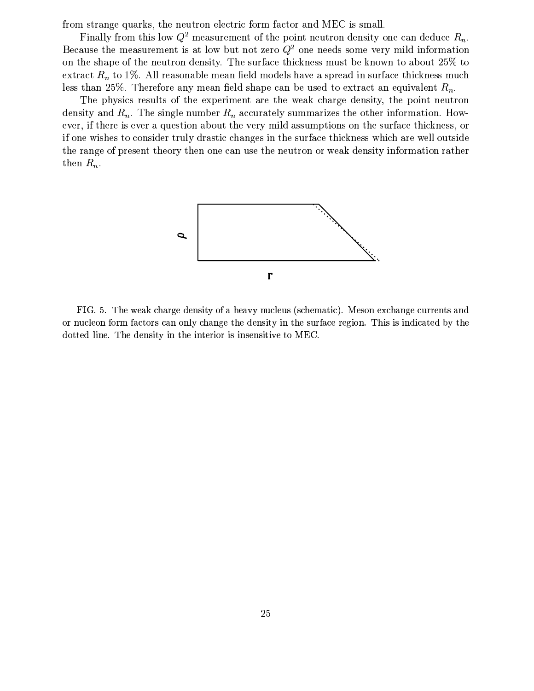from strange quarks, the neutron electric form factor and MEC is small.

Finally from this low  $Q^2$  measurement of the point neutron density one can deduce  $R_n$ . Because the measurement is at low but not zero  $Q^2$  one needs some very mild information on the shape of the neutron density. The surface thickness must be known to about 25% to extract  $R_n$  to 1%. All reasonable mean field models have a spread in surface thickness much less than 25%. Therefore any mean field shape can be used to extract an equivalent  $R_n$ .

The physics results of the experiment are the weak charge density, the point neutron density and  $R_n$ . The single number  $R_n$  accurately summarizes the other information. However, if there is ever a question about the very mild assumptions on the surface thickness, or if one wishes to consider truly drastic changes in the surface thickness which are well outside the range of present theory then one can use the neutron or weak density information rather then  $R_n$ .



FIG. 5. The weak charge density of a heavy nucleus (schematic). Meson exchange currents and or nucleon form factors can only change the density in the surface region. This is indicated by the dotted line. The density in the interior is insensitive to MEC.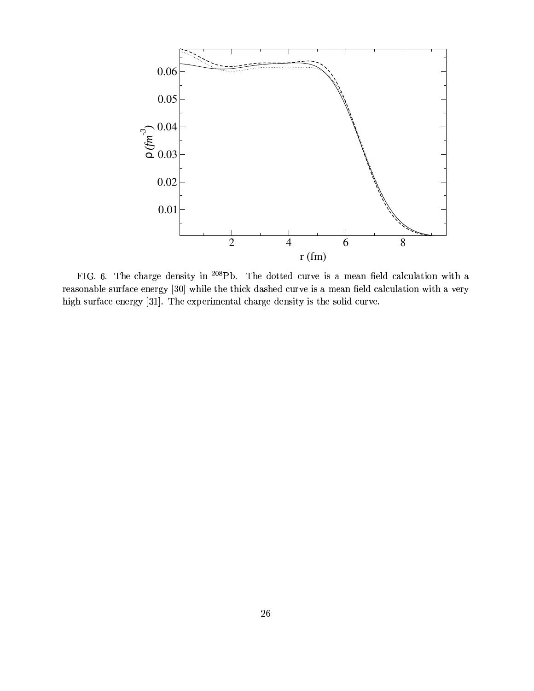

FIG. 6. The charge density in <sup>208</sup>Pb. The dotted curve is a mean field calculation with a reasonable surface energy [30] while the thick dashed curve is a mean field calculation with a very high surface energy [31]. The experimental charge density is the solid curve.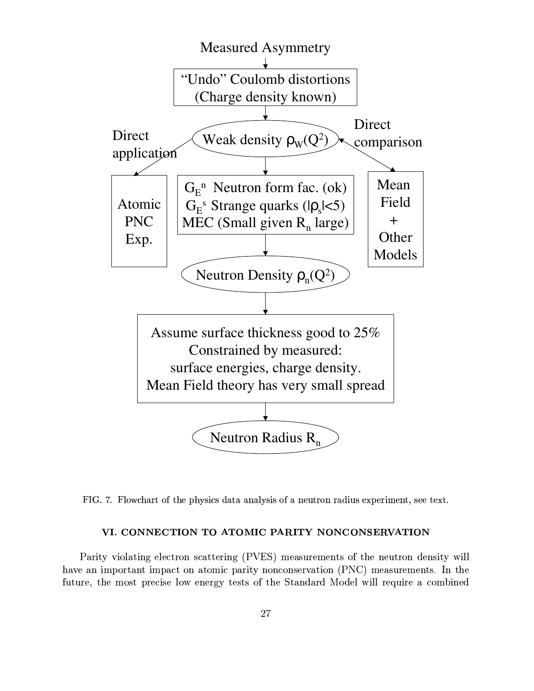

FIG. 7. Flowchart of the physics data analysis of a neutron radius experiment, see text.

## VI. CONNECTION TO ATOMIC PARITY NONCONSERVATION

Parity violating electron scattering (PVES) measurements of the neutron density will have an important impact on atomic parity nonconservation (PNC) measurements. In the future, the most precise low energy tests of the Standard Model will require a combined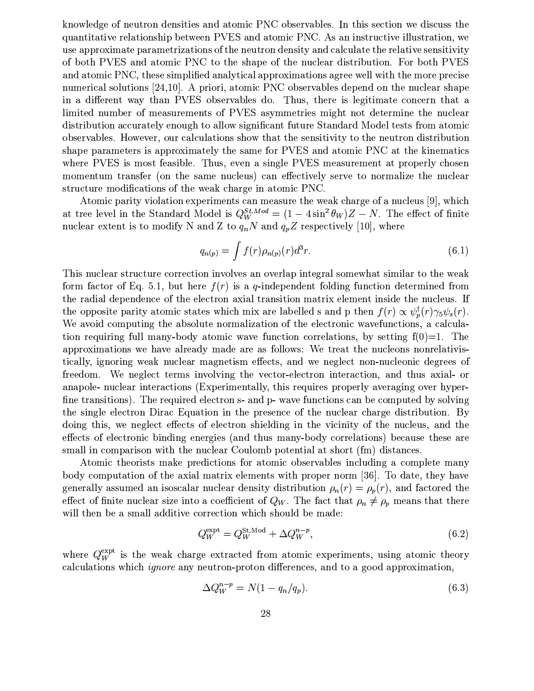knowledge of neutron densities and atomic PNC observables. In this section we discuss the quantitative relationship between PVES and atomic PNC. As an instructive illustration, we use approximate parametrizations of the neutron density and calculate the relative sensitivity of both PVES and atomic PNC to the shape of the nuclear distribution. For both PVES and atomic PNC, these simplified analytical approximations agree well with the more precise numerical solutions [24,10]. A priori, atomic PNC observables depend on the nuclear shape in a different way than PVES observables do. Thus, there is legitimate concern that a limited number of measurements of PVES asymmetries might not determine the nuclear distribution accurately enough to allow significant future Standard Model tests from atomic observables. However, our calculations show that the sensitivity to the neutron distribution shape parameters is approximately the same for PVES and atomic PNC at the kinematics where PVES is most feasible. Thus, even a single PVES measurement at properly chosen momentum transfer (on the same nucleus) can effectively serve to normalize the nuclear structure modifications of the weak charge in atomic PNC.

Atomic parity violation experiments can measure the weak charge of a nucleus [9], which at tree level in the Standard Model is  $Q_W^{St,Mod} = (1 - 4\sin^2\theta_W)Z - N$ . The effect of finite nuclear extent is to modify N and Z to  $q_nN$  and  $q_pZ$  respectively [10], where

$$
q_{n(p)} = \int f(r)\rho_{n(p)}(r)d^3r.
$$
\n(6.1)

This nuclear structure correction involves an overlap integral somewhat similar to the weak form factor of Eq. 5.1, but here  $f(r)$  is a q-independent folding function determined from the radial dependence of the electron axial transition matrix element inside the nucleus. If the opposite parity atomic states which mix are labelled s and p then  $f(r) \propto \psi_p^{\dagger}(r) \gamma_5 \psi_s(r)$ . We avoid computing the absolute normalization of the electronic wavefunctions, a calculation requiring full many-body atomic wave function correlations, by setting  $f(0)=1$ . The approximations we have already made are as follows: We treat the nucleons nonrelativistically, ignoring weak nuclear magnetism effects, and we neglect non-nucleonic degrees of freedom. We neglect terms involving the vector-electron interaction, and thus axial- or anapole- nuclear interactions (Experimentally, this requires properly averaging over hyperfine transitions). The required electron s- and p- wave functions can be computed by solving the single electron Dirac Equation in the presence of the nuclear charge distribution. By doing this, we neglect effects of electron shielding in the vicinity of the nucleus, and the effects of electronic binding energies (and thus many-body correlations) because these are small in comparison with the nuclear Coulomb potential at short (fm) distances.

Atomic theorists make predictions for atomic observables including a complete many body computation of the axial matrix elements with proper norm [36]. To date, they have generally assumed an isoscalar nuclear density distribution  $\rho_n(r) = \rho_n(r)$ , and factored the effect of finite nuclear size into a coefficient of  $Q_W$ . The fact that  $\rho_n \neq \rho_p$  means that there will then be a small additive correction which should be made:

$$
Q_W^{\text{expt}} = Q_W^{\text{St.Mod}} + \Delta Q_W^{n-p},\tag{6.2}
$$

where  $Q_W^{\text{expt}}$  is the weak charge extracted from atomic experiments, using atomic theory calculations which *ignore* any neutron-proton differences, and to a good approximation,

$$
\Delta Q_W^{n-p} = N(1 - q_n/q_p). \tag{6.3}
$$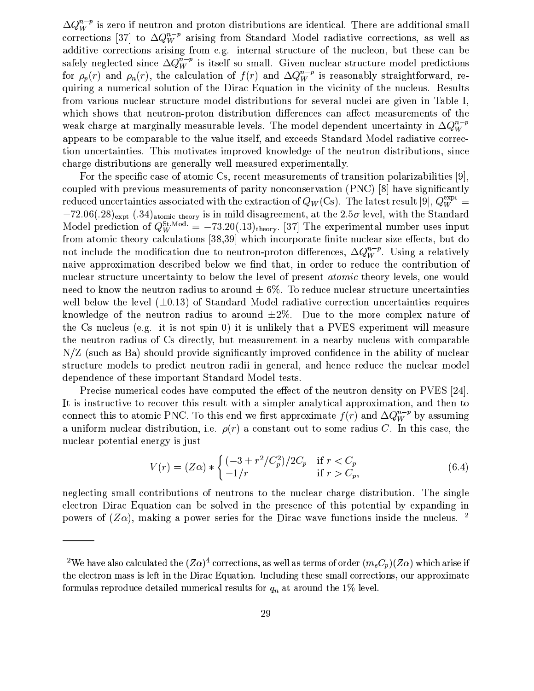$\Delta Q_W^{n-p}$  is zero if neutron and proton distributions are identical. There are additional small corrections [37] to  $\Delta Q_W^{n-p}$  arising from Standard Model radiative corrections, as well as additive corrections arising from e.g. internal structure of the nucleon, but these can be safely neglected since  $\Delta Q_W^{n-p}$  is itself so small. Given nuclear structure model predictions for  $\rho_p(r)$  and  $\rho_n(r)$ , the calculation of  $f(r)$  and  $\Delta Q_W^{n-p}$  is reasonably straightforward, requiring a numerical solution of the Dirac Equation in the vicinity of the nucleus. Results from various nuclear structure model distributions for several nuclei are given in Table I, which shows that neutron-proton distribution differences can affect measurements of the weak charge at marginally measurable levels. The model dependent uncertainty in  $\Delta Q_W^{n-p}$ appears to be comparable to the value itself, and exceeds Standard Model radiative correction uncertainties. This motivates improved knowledge of the neutron distributions, since charge distributions are generally well measured experimentally.

For the specific case of atomic Cs, recent measurements of transition polarizabilities  $[9]$ , coupled with previous measurements of parity nonconservation (PNC) [8] have significantly reduced uncertainties associated with the extraction of  $Q_W(\text{Cs})$ . The latest result [9],  $Q_W^{\text{expt}}$  =  $-72.06(.28)_{\text{expt}}$  (.34)<sub>atomic theory</sub> is in mild disagreement, at the 2.5 $\sigma$  level, with the Standard Model prediction of  $Q_W^{\text{St-Mod.}} = -73.20(.13)_{\text{theory}}$ . [37] The experimental number uses input from atomic theory calculations [38,39] which incorporate finite nuclear size effects, but do not include the modification due to neutron-proton differences,  $\Delta Q_W^{n-p}$ . Using a relatively naive approximation described below we find that, in order to reduce the contribution of nuclear structure uncertainty to below the level of present *atomic* theory levels, one would need to know the neutron radius to around  $\pm$  6%. To reduce nuclear structure uncertainties well below the level  $(\pm 0.13)$  of Standard Model radiative correction uncertainties requires knowledge of the neutron radius to around  $\pm 2\%$ . Due to the more complex nature of the Cs nucleus (e.g. it is not spin 0) it is unlikely that a PVES experiment will measure the neutron radius of Cs directly, but measurement in a nearby nucleus with comparable  $N/Z$  (such as Ba) should provide significantly improved confidence in the ability of nuclear structure models to predict neutron radii in general, and hence reduce the nuclear model dependence of these important Standard Model tests.

Precise numerical codes have computed the effect of the neutron density on PVES [24]. It is instructive to recover this result with a simpler analytical approximation, and then to connect this to atomic PNC. To this end we first approximate  $f(r)$  and  $\Delta Q_W^{n-p}$  by assuming a uniform nuclear distribution, i.e.  $\rho(r)$  a constant out to some radius C. In this case, the nuclear potential energy is just

$$
V(r) = (Z\alpha) * \begin{cases} (-3+r^2/C_p^2)/2C_p & \text{if } r < C_p \\ -1/r & \text{if } r > C_p, \end{cases}
$$
(6.4)

neglecting small contributions of neutrons to the nuclear charge distribution. The single electron Dirac Equation can be solved in the presence of this potential by expanding in powers of  $(Z\alpha)$ , making a power series for the Dirac wave functions inside the nucleus. <sup>2</sup>

<sup>&</sup>lt;sup>2</sup>We have also calculated the  $(Z\alpha)^4$  corrections, as well as terms of order  $(m_eC_p)(Z\alpha)$  which arise if the electron mass is left in the Dirac Equation. Including these small corrections, our approximate formulas reproduce detailed numerical results for  $q_n$  at around the 1% level.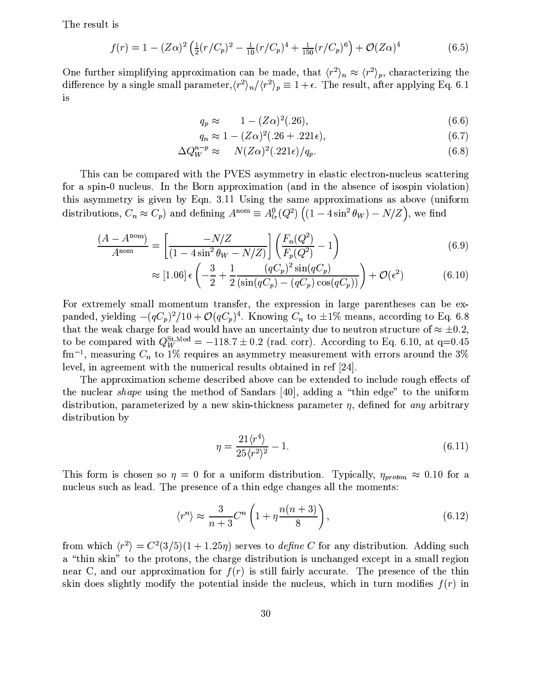The result is

$$
f(r) = 1 - (Z\alpha)^2 \left( \frac{1}{2} (r/C_p)^2 - \frac{1}{10} (r/C_p)^4 + \frac{1}{150} (r/C_p)^6 \right) + \mathcal{O}(Z\alpha)^4 \tag{6.5}
$$

One further simplifying approximation can be made, that  $\langle r^2 \rangle_n \approx \langle r^2 \rangle_p$ , characterizing the difference by a single small parameter,  $\langle r^2 \rangle_n / \langle r^2 \rangle_p \equiv 1 + \epsilon$ . The result, after applying Eq. 6.1 is

$$
q_p \approx 1 - (Z\alpha)^2(.26),\tag{6.6}
$$

$$
q_n \approx 1 - (Z\alpha)^2 (0.26 + 0.221\epsilon),\tag{6.7}
$$

$$
\Delta Q_W^{n-p} \approx N(Z\alpha)^2(.221\epsilon)/q_p. \tag{6.8}
$$

This can be compared with the PVES asymmetry in elastic electron-nucleus scattering for a spin-0 nucleus. In the Born approximation (and in the absence of isospin violation) this asymmetry is given by Eqn. 3.11 Using the same approximations as above (uniform distributions,  $C_n \approx C_p$  and defining  $A^{nom} \equiv A_{lr}^0(Q^2) \left( (1 - 4 \sin^2 \theta_W) - N/Z \right)$ , we find

$$
\frac{(A - A^{\text{nom}})}{A^{\text{nom}}} = \left[ \frac{-N/Z}{(1 - 4\sin^2 \theta_W - N/Z)} \right] \left( \frac{F_n(Q^2)}{F_p(Q^2)} - 1 \right)
$$
(6.9)

$$
\approx [1.06] \epsilon \left( -\frac{3}{2} + \frac{1}{2} \frac{(qC_p)^2 \sin(qC_p)}{(\sin(qC_p) - (qC_p)\cos(qC_p))} \right) + \mathcal{O}(\epsilon^2)
$$
(6.10)

For extremely small momentum transfer, the expression in large parentheses can be expanded, yielding  $-(qC_p)^2/10 + \mathcal{O}(qC_p)^4$ . Knowing  $C_n$  to  $\pm 1\%$  means, according to Eq. 6.8 that the weak charge for lead would have an uncertainty due to neutron structure of  $\approx \pm 0.2$ , to be compared with  $Q_W^{\text{St,Mod}} = -118.7 \pm 0.2$  (rad. corr). According to Eq. 6.10, at q=0.45 fm<sup>-1</sup>, measuring  $C_n$  to 1% requires an asymmetry measurement with errors around the 3% level, in agreement with the numerical results obtained in ref  $[24]$ .

The approximation scheme described above can be extended to include rough effects of the nuclear *shape* using the method of Sandars [40], adding a "thin edge" to the uniform distribution, parameterized by a new skin-thickness parameter  $\eta$ , defined for any arbitrary distribution by

$$
\eta = \frac{21\langle r^4 \rangle}{25\langle r^2 \rangle^2} - 1. \tag{6.11}
$$

This form is chosen so  $\eta = 0$  for a uniform distribution. Typically,  $\eta_{proton} \approx 0.10$  for a nucleus such as lead. The presence of a thin edge changes all the moments:

$$
\langle r^n \rangle \approx \frac{3}{n+3} C^n \left( 1 + \eta \frac{n(n+3)}{8} \right),\tag{6.12}
$$

from which  $\langle r^2 \rangle = C^2(3/5)(1+1.25\eta)$  serves to *define C* for any distribution. Adding such a "thin skin" to the protons, the charge distribution is unchanged except in a small region near C, and our approximation for  $f(r)$  is still fairly accurate. The presence of the thin skin does slightly modify the potential inside the nucleus, which in turn modifies  $f(r)$  in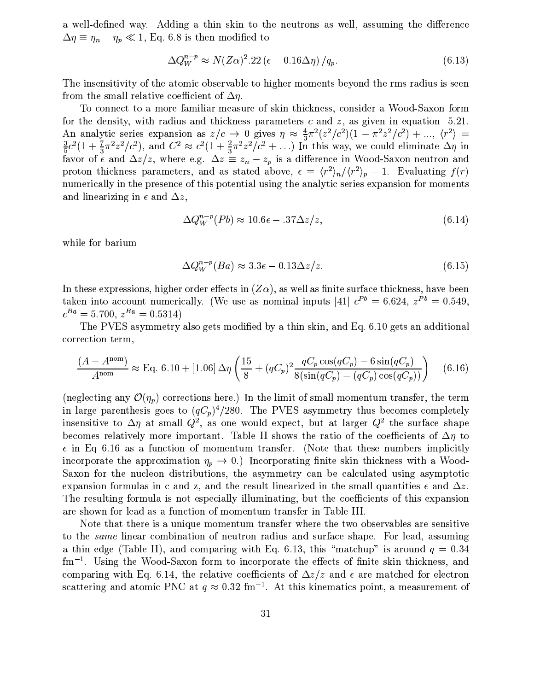a well-defined way. Adding a thin skin to the neutrons as well, assuming the difference  $\Delta \eta \equiv \eta_n - \eta_p \ll 1$ , Eq. 6.8 is then modified to

$$
\Delta Q_W^{n-p} \approx N(Z\alpha)^2.22\left(\epsilon - 0.16\Delta\eta\right)/q_p. \tag{6.13}
$$

The insensitivity of the atomic observable to higher moments beyond the rms radius is seen from the small relative coefficient of  $\Delta \eta$ .

To connect to a more familiar measure of skin thickness, consider a Wood-Saxon form for the density, with radius and thickness parameters c and z, as given in equation 5.21. An analytic series expansion as  $z/c \rightarrow 0$  gives  $\eta \approx \frac{4}{3}\pi^2(z^2/c^2)(1 - \pi^2z^2/c^2) + ..., \langle r^2 \rangle =$  $\frac{3}{5}c^2(1+\frac{7}{3}\pi^2z^2/c^2)$ , and  $C^2 \approx c^2(1+\frac{2}{3}\pi^2z^2/c^2+\ldots)$  In this way, we could eliminate  $\Delta\eta$  in favor of  $\epsilon$  and  $\Delta z/z$ , where e.g.  $\Delta z \equiv z_n - z_p$  is a difference in Wood-Saxon neutron and proton thickness parameters, and as stated above,  $\epsilon = \langle r^2 \rangle_n / \langle r^2 \rangle_p - 1$ . Evaluating  $f(r)$ numerically in the presence of this potential using the analytic series expansion for moments and linearizing in  $\epsilon$  and  $\Delta z$ ,

$$
\Delta Q_W^{n-p}(Pb) \approx 10.6\epsilon - .37\Delta z/z,
$$
\n(6.14)

while for barium

$$
\Delta Q_W^{n-p}(Ba) \approx 3.3\epsilon - 0.13\Delta z/z. \tag{6.15}
$$

In these expressions, higher order effects in  $(Z\alpha)$ , as well as finite surface thickness, have been taken into account numerically. (We use as nominal inputs [41]  $c^{Pb} = 6.624$ ,  $z^{Pb} = 0.549$ ,  $c^{Ba} = 5.700, z^{Ba} = 0.5314$ 

The PVES asymmetry also gets modified by a thin skin, and Eq. 6.10 gets an additional correction term,

$$
\frac{(A - A^{nom})}{A^{nom}} \approx \text{Eq. 6.10} + [1.06] \Delta \eta \left( \frac{15}{8} + (qC_p)^2 \frac{qC_p \cos(qC_p) - 6 \sin(qC_p)}{8(\sin(qC_p) - (qC_p)\cos(qC_p))} \right) \tag{6.16}
$$

(neglecting any  $\mathcal{O}(\eta_p)$  corrections here.) In the limit of small momentum transfer, the term in large parenthesis goes to  $(qC_p)^4/280$ . The PVES asymmetry thus becomes completely insensitive to  $\Delta \eta$  at small  $Q^2$ , as one would expect, but at larger  $Q^2$  the surface shape becomes relatively more important. Table II shows the ratio of the coefficients of  $\Delta \eta$  to  $\epsilon$  in Eq 6.16 as a function of momentum transfer. (Note that these numbers implicitly incorporate the approximation  $\eta_p \to 0$ .) Incorporating finite skin thickness with a Wood-Saxon for the nucleon distributions, the asymmetry can be calculated using asymptotic expansion formulas in c and z, and the result linearized in the small quantities  $\epsilon$  and  $\Delta z$ . The resulting formula is not especially illuminating, but the coefficients of this expansion are shown for lead as a function of momentum transfer in Table III.

Note that there is a unique momentum transfer where the two observables are sensitive to the *same* linear combination of neutron radius and surface shape. For lead, assuming a thin edge (Table II), and comparing with Eq. 6.13, this "matchup" is around  $q = 0.34$  $\text{fm}^{-1}$ . Using the Wood-Saxon form to incorporate the effects of finite skin thickness, and comparing with Eq. 6.14, the relative coefficients of  $\Delta z/z$  and  $\epsilon$  are matched for electron scattering and atomic PNC at  $q \approx 0.32$  fm<sup>-1</sup>. At this kinematics point, a measurement of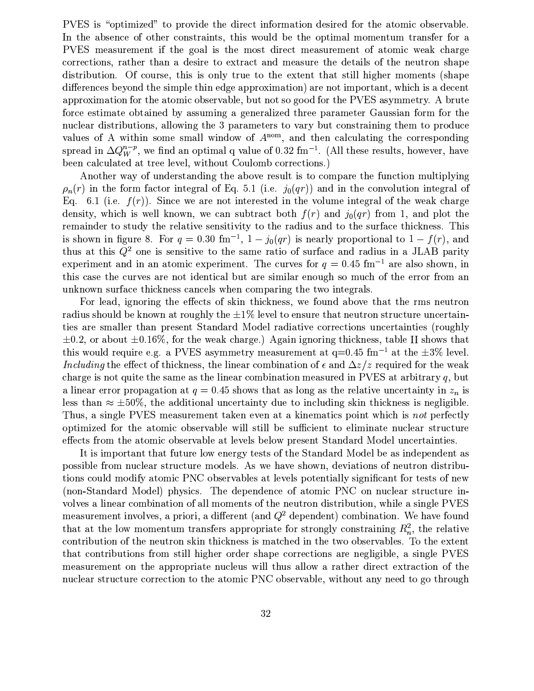PVES is "optimized" to provide the direct information desired for the atomic observable. In the absence of other constraints, this would be the optimal momentum transfer for a PVES measurement if the goal is the most direct measurement of atomic weak charge corrections, rather than a desire to extract and measure the details of the neutron shape distribution. Of course, this is only true to the extent that still higher moments (shape differences beyond the simple thin edge approximation) are not important, which is a decent approximation for the atomic observable, but not so good for the PVES asymmetry. A brute force estimate obtained by assuming a generalized three parameter Gaussian form for the nuclear distributions, allowing the 3 parameters to vary but constraining them to produce values of A within some small window of  $A^{nom}$ , and then calculating the corresponding spread in  $\Delta Q_W^{n-p}$ , we find an optimal q value of 0.32 fm<sup>-1</sup>. (All these results, however, have been calculated at tree level, without Coulomb corrections.)

Another way of understanding the above result is to compare the function multiplying  $\rho_n(r)$  in the form factor integral of Eq. 5.1 (i.e.  $j_0(qr)$ ) and in the convolution integral of Eq. 6.1 (i.e.  $f(r)$ ). Since we are not interested in the volume integral of the weak charge density, which is well known, we can subtract both  $f(r)$  and  $j_0(qr)$  from 1, and plot the remainder to study the relative sensitivity to the radius and to the surface thickness. This is shown in figure 8. For  $q = 0.30$  fm<sup>-1</sup>,  $1 - j_0(qr)$  is nearly proportional to  $1 - f(r)$ , and thus at this  $Q^2$  one is sensitive to the same ratio of surface and radius in a JLAB parity experiment and in an atomic experiment. The curves for  $q = 0.45$  fm<sup>-1</sup> are also shown, in this case the curves are not identical but are similar enough so much of the error from an unknown surface thickness cancels when comparing the two integrals.

For lead, ignoring the effects of skin thickness, we found above that the rms neutron radius should be known at roughly the  $\pm 1\%$  level to ensure that neutron structure uncertainties are smaller than present Standard Model radiative corrections uncertainties (roughly  $\pm 0.2$ , or about  $\pm 0.16\%$ , for the weak charge.) Again ignoring thickness, table II shows that this would require e.g. a PVES asymmetry measurement at  $q=0.45$  fm<sup>-1</sup> at the  $\pm 3\%$  level. *Including* the effect of thickness, the linear combination of  $\epsilon$  and  $\Delta z/z$  required for the weak charge is not quite the same as the linear combination measured in PVES at arbitrary  $q$ , but a linear error propagation at  $q = 0.45$  shows that as long as the relative uncertainty in  $z_n$  is less than  $\approx \pm 50\%$ , the additional uncertainty due to including skin thickness is negligible. Thus, a single PVES measurement taken even at a kinematics point which is not perfectly optimized for the atomic observable will still be sufficient to eliminate nuclear structure effects from the atomic observable at levels below present Standard Model uncertainties.

It is important that future low energy tests of the Standard Model be as independent as possible from nuclear structure models. As we have shown, deviations of neutron distributions could modify atomic PNC observables at levels potentially significant for tests of new (non-Standard Model) physics. The dependence of atomic PNC on nuclear structure involves a linear combination of all moments of the neutron distribution, while a single PVES measurement involves, a priori, a different (and  $Q^2$  dependent) combination. We have found that at the low momentum transfers appropriate for strongly constraining  $R_n^2$ , the relative contribution of the neutron skin thickness is matched in the two observables. To the extent that contributions from still higher order shape corrections are negligible, a single PVES measurement on the appropriate nucleus will thus allow a rather direct extraction of the nuclear structure correction to the atomic PNC observable, without any need to go through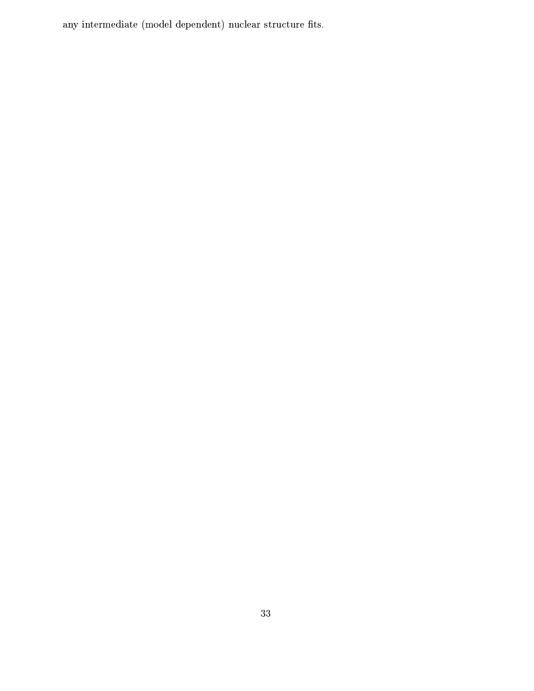any intermediate (model dependent) nuclear structure fits.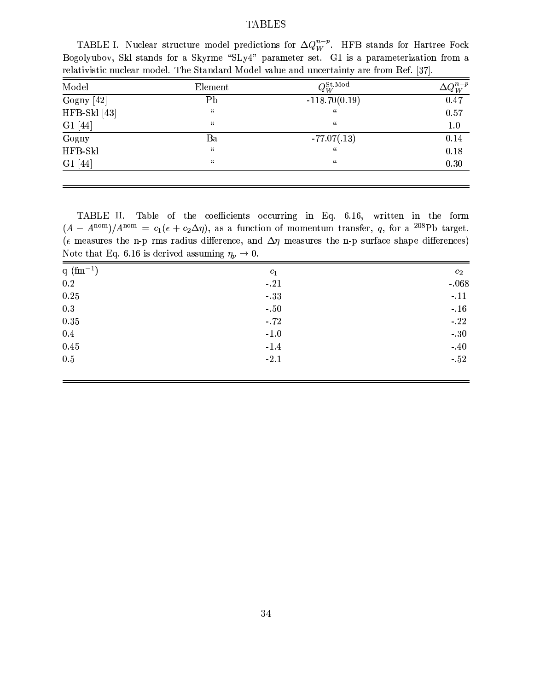## **TABLES**

TABLE I. Nuclear structure model predictions for  $\Delta Q_W^{n-p}$ . HFB stands for Hartree Fock Bogolyubov, Skl stands for a Skyrme "SLy4" parameter set. G1 is a parameterization from a relativistic nuclear model. The Standard Model value and uncertainty are from Ref. [37].

| Model          | Element       | $Q_W^{\rm St. Mod}$ | $\Delta Q_W^{n-p}$ |
|----------------|---------------|---------------------|--------------------|
| Gogny [42]     | Pb            | $-118.70(0.19)$     | 0.47               |
| $HFB-Skl$ [43] | $\mathcal{L}$ | $\omega$            | 0.57               |
| G1[44]         | $\omega$      | 44                  | $1.0\,$            |
| Gogny          | Ba            | $-77.07(.13)$       | 0.14               |
| HFB-Skl        | $\omega$      | $\omega$            | 0.18               |
| G1 [44]        | $\omega$      | 44                  | 0.30               |
|                |               |                     |                    |

TABLE II. Table of the coefficients occurring in Eq. 6.16, written in the form  $(A - A^{nom})/A^{nom} = c_1(\epsilon + c_2\Delta\eta)$ , as a function of momentum transfer, q, for a <sup>208</sup>Pb target. ( $\epsilon$  measures the n-p rms radius difference, and  $\Delta \eta$  measures the n-p surface shape differences) Note that Eq. 6.16 is derived assuming  $\eta_p \to 0.$ 

| q $(fm^{-1})$ | $c_1$  | $c_2$   |
|---------------|--------|---------|
| 0.2           | $-21$  | $-.068$ |
| 0.25          | $-.33$ | $-.11$  |
| 0.3           | $-.50$ | $-16$   |
| 0.35          | $-.72$ | $-22$   |
| 0.4           | $-1.0$ | $-.30$  |
| 0.45          | $-1.4$ | $-.40$  |
| 0.5           | $-2.1$ | $-.52$  |
|               |        |         |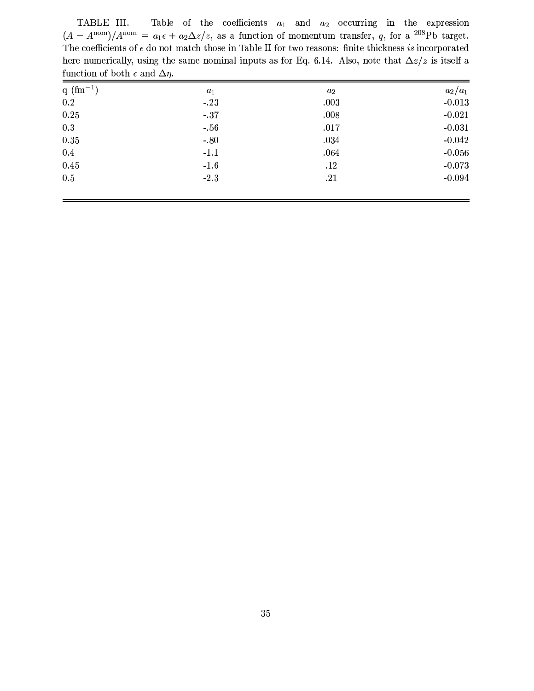Table of the coefficients  $a_1$  and  $a_2$  occurring in the expression TABLE III.  $(A - A^{nom})/A^{nom} = a_1 \epsilon + a_2 \Delta z/z$ , as a function of momentum transfer, q, for a <sup>208</sup>Pb target. The coefficients of  $\epsilon$  do not match those in Table II for two reasons: finite thickness is incorporated here numerically, using the same nominal inputs as for Eq. 6.14. Also, note that  $\Delta z/z$  is itself a function of both  $\epsilon$  and  $\Delta \eta$ .

| $q \, (\text{fm}^{-1})$ | $a_1$  | $a_2$ | $a_2/a_1$ |
|-------------------------|--------|-------|-----------|
| 0.2                     | $-23$  | .003  | $-0.013$  |
| 0.25                    | $-37$  | .008  | $-0.021$  |
| 0.3                     | $-.56$ | .017  | $-0.031$  |
| 0.35                    | $-.80$ | .034  | $-0.042$  |
| 0.4                     | $-1.1$ | .064  | $-0.056$  |
| 0.45                    | $-1.6$ | .12   | $-0.073$  |
| 0.5                     | $-2.3$ | .21   | $-0.094$  |
|                         |        |       |           |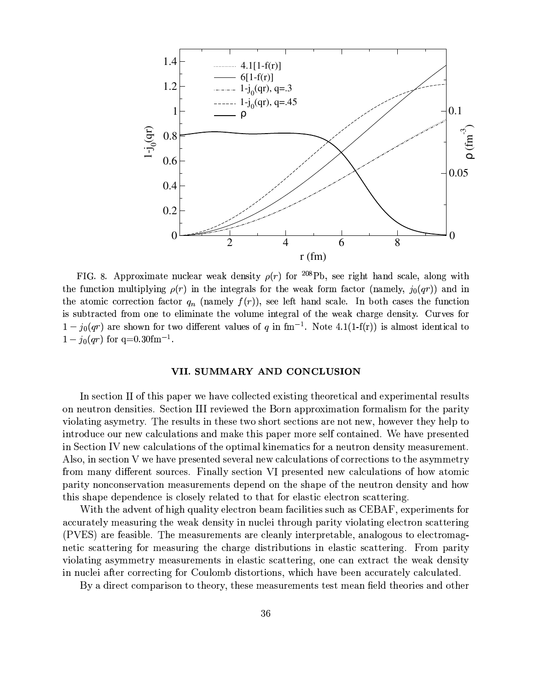

FIG. 8. Approximate nuclear weak density  $\rho(r)$  for <sup>208</sup>Pb, see right hand scale, along with the function multiplying  $\rho(r)$  in the integrals for the weak form factor (namely,  $j_0(qr)$ ) and in the atomic correction factor  $q_n$  (namely  $f(r)$ ), see left hand scale. In both cases the function is subtracted from one to eliminate the volume integral of the weak charge density. Curves for  $1 - j_0(qr)$  are shown for two different values of q in fm<sup>-1</sup>. Note 4.1(1-f(r)) is almost identical to  $1 - j_0(qr)$  for q=0.30fm<sup>-1</sup>.

#### VII. SUMMARY AND CONCLUSION

In section II of this paper we have collected existing theoretical and experimental results on neutron densities. Section III reviewed the Born approximation formalism for the parity violating asymetry. The results in these two short sections are not new, however they help to introduce our new calculations and make this paper more self contained. We have presented in Section IV new calculations of the optimal kinematics for a neutron density measurement. Also, in section V we have presented several new calculations of corrections to the asymmetry from many different sources. Finally section VI presented new calculations of how atomic parity nonconservation measurements depend on the shape of the neutron density and how this shape dependence is closely related to that for elastic electron scattering.

With the advent of high quality electron beam facilities such as CEBAF, experiments for accurately measuring the weak density in nuclei through parity violating electron scattering (PVES) are feasible. The measurements are cleanly interpretable, analogous to electromagnetic scattering for measuring the charge distributions in elastic scattering. From parity violating asymmetry measurements in elastic scattering, one can extract the weak density in nuclei after correcting for Coulomb distortions, which have been accurately calculated.

By a direct comparison to theory, these measurements test mean field theories and other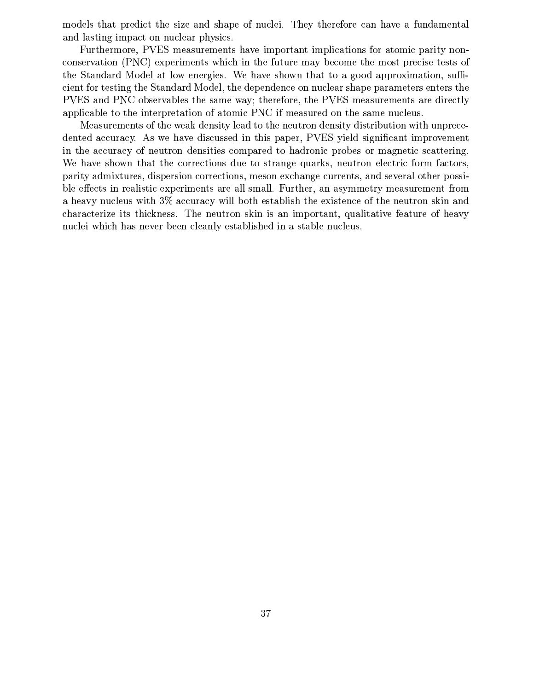models that predict the size and shape of nuclei. They therefore can have a fundamental and lasting impact on nuclear physics.

Furthermore, PVES measurements have important implications for atomic parity nonconservation (PNC) experiments which in the future may become the most precise tests of the Standard Model at low energies. We have shown that to a good approximation, sufficient for testing the Standard Model, the dependence on nuclear shape parameters enters the PVES and PNC observables the same way; therefore, the PVES measurements are directly applicable to the interpretation of atomic PNC if measured on the same nucleus.

Measurements of the weak density lead to the neutron density distribution with unprecedented accuracy. As we have discussed in this paper, PVES yield significant improvement in the accuracy of neutron densities compared to hadronic probes or magnetic scattering. We have shown that the corrections due to strange quarks, neutron electric form factors, parity admixtures, dispersion corrections, meson exchange currents, and several other possible effects in realistic experiments are all small. Further, an asymmetry measurement from a heavy nucleus with 3% accuracy will both establish the existence of the neutron skin and characterize its thickness. The neutron skin is an important, qualitative feature of heavy nuclei which has never been cleanly established in a stable nucleus.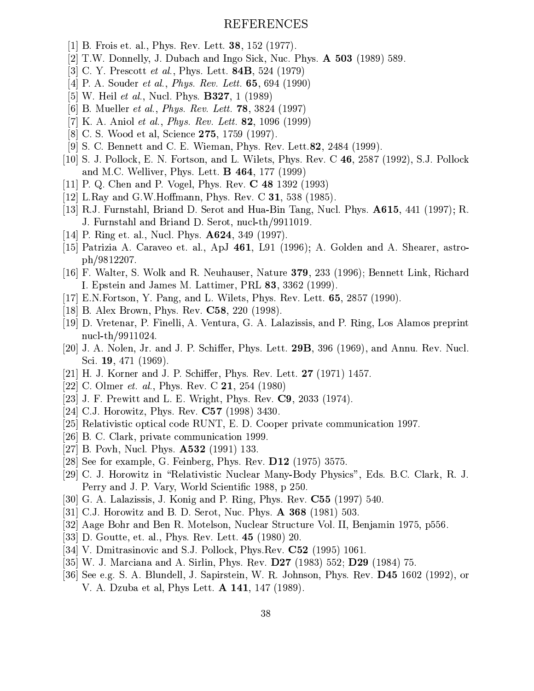# REFERENCES

- [1] B. Frois et. al., Phys. Rev. Lett. 38, 152 (1977).
- [2] T.W. Donnelly, J. Dubach and Ingo Sick, Nuc. Phys.  $\bf{A}$  503 (1989) 589.
- [3] C. Y. Prescott *et al.*, Phys. Lett. **84B**, 524 (1979)
- [4] P. A. Souder *et al., Phys. Rev. Lett.* **65**, 694 (1990)
- [5] W. Heil et al., Nucl. Phys. **B327**, 1 (1989)
- [6] B. Mueller *et al., Phys. Rev. Lett.* **78**,  $3824$  (1997)
- [7] K. A. Aniol et al., *Phys. Rev. Lett.* **82**, 1096 (1999)
- [8] C. S. Wood et al, Science 275, 1759 (1997).
- [9] S. C. Bennett and C. E. Wieman, Phys. Rev. Lett.82, 2484 (1999).
- [10] S. J. Pollock, E. N. Fortson, and L. Wilets, Phys. Rev. C 46, 2587 (1992), S.J. Pollock and M.C. Welliver, Phys. Lett. **B 464**, 177 (1999)
- [11] P. Q. Chen and P. Vogel, Phys. Rev. C 48 1392 (1993)
- [12] L.Ray and G.W.Hoffmann, Phys. Rev. C  $31, 538$  (1985).
- [13] R.J. Furnstahl, Briand D. Serot and Hua-Bin Tang, Nucl. Phys. A615, 441 (1997); R. J. Furnstahl and Briand D. Serot, nucl-th/9911019.
- [14] P. Ring et. al., Nucl. Phys.  $\mathbf{A624}$ , 349 (1997).
- [15] Patrizia A. Caraveo et. al., ApJ  $461$ , L91 (1996); A. Golden and A. Shearer, astroph/9812207.
- [16] F. Walter, S. Wolk and R. Neuhauser, Nature 379, 233 (1996); Bennett Link, Richard I. Epstein and James M. Lattimer, PRL 83, 3362 (1999).
- [17] E.N. Fortson, Y. Pang, and L. Wilets, Phys. Rev. Lett.  $65$ , 2857 (1990).
- [18] B. Alex Brown, Phys. Rev. C58, 220 (1998).
- [19] D. Vretenar, P. Finelli, A. Ventura, G. A. Lalazissis, and P. Ring, Los Alamos preprint  $nucl-th/9911024.$
- [20] J. A. Nolen, Jr. and J. P. Schiffer, Phys. Lett.  $29B$ ,  $396$  (1969), and Annu. Rev. Nucl. Sci. 19, 471 (1969).
- [21] H. J. Korner and J. P. Schiffer, Phys. Rev. Lett. 27 (1971) 1457.
- [22] C. Olmer *et. al.*, Phys. Rev. C **21**, 254 (1980)
- [23] J. F. Prewitt and L. E. Wright, Phys. Rev. C9, 2033 (1974).
- [24] C.J. Horowitz, Phys. Rev.  $C57$  (1998) 3430.
- [25] Relativistic optical code RUNT, E. D. Cooper private communication 1997.
- [26] B. C. Clark, private communication 1999.
- [27] B. Povh, Nucl. Phys.  $A532$  (1991) 133.
- [28] See for example, G. Feinberg, Phys. Rev.  $D12$  (1975) 3575.
- [29] C. J. Horowitz in "Relativistic Nuclear Many-Body Physics", Eds. B.C. Clark, R. J. Perry and J. P. Vary, World Scientific 1988, p 250.
- [30] G. A. Lalazissis, J. Konig and P. Ring, Phys. Rev. C55 (1997) 540.
- [31] C.J. Horowitz and B. D. Serot, Nuc. Phys.  $\bf{A}$  368 (1981) 503.
- [32] Aage Bohr and Ben R. Motelson, Nuclear Structure Vol. II, Benjamin 1975, p556.
- [33] D. Goutte, et. al., Phys. Rev. Lett. 45 (1980) 20.
- [34] V. Dmitrasinovic and S.J. Pollock, Phys.Rev. C52 (1995) 1061.
- [35] W. J. Marciana and A. Sirlin, Phys. Rev. D27 (1983) 552; D29 (1984) 75.
- [36] See e.g. S. A. Blundell, J. Sapirstein, W. R. Johnson, Phys. Rev. D45 1602 (1992), or V. A. Dzuba et al, Phys Lett. **A 141**, 147 (1989).